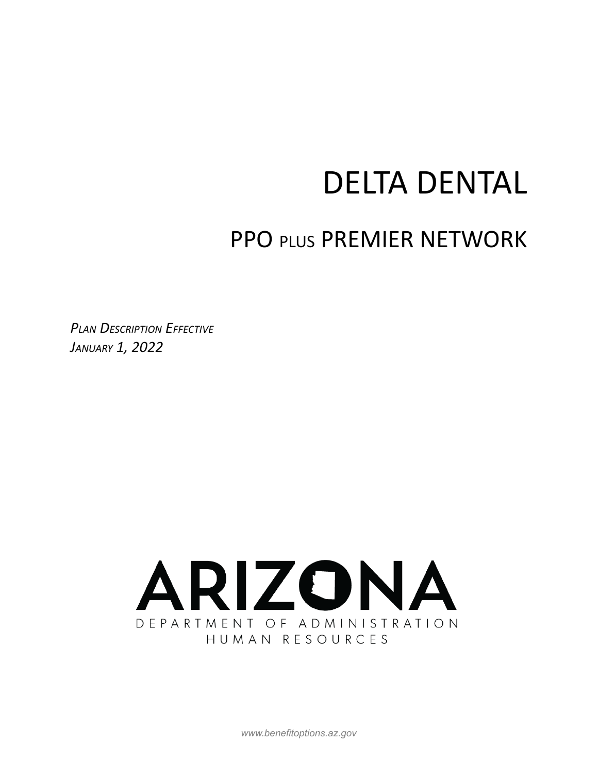# DELTA DENTAL

## PPO PLUS PREMIER NETWORK

*PLAN DESCRIPTION EFFECTIVE JANUARY 1, 2022*



*www.benefitoptions.az.gov*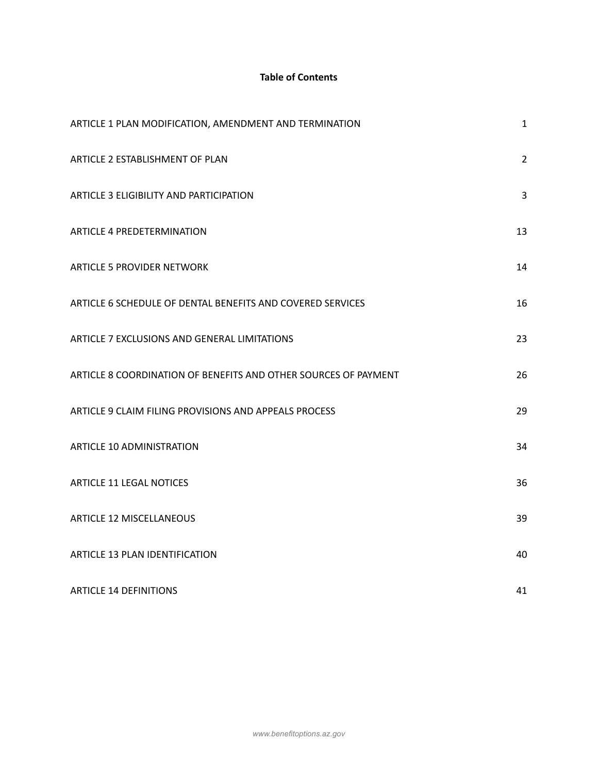#### **Table of Contents**

| ARTICLE 1 PLAN MODIFICATION, AMENDMENT AND TERMINATION          | $\mathbf{1}$   |
|-----------------------------------------------------------------|----------------|
| ARTICLE 2 ESTABLISHMENT OF PLAN                                 | $\overline{2}$ |
| ARTICLE 3 ELIGIBILITY AND PARTICIPATION                         | 3              |
| <b>ARTICLE 4 PREDETERMINATION</b>                               | 13             |
| <b>ARTICLE 5 PROVIDER NETWORK</b>                               | 14             |
| ARTICLE 6 SCHEDULE OF DENTAL BENEFITS AND COVERED SERVICES      | 16             |
| ARTICLE 7 EXCLUSIONS AND GENERAL LIMITATIONS                    | 23             |
| ARTICLE 8 COORDINATION OF BENEFITS AND OTHER SOURCES OF PAYMENT | 26             |
| ARTICLE 9 CLAIM FILING PROVISIONS AND APPEALS PROCESS           | 29             |
| <b>ARTICLE 10 ADMINISTRATION</b>                                | 34             |
| <b>ARTICLE 11 LEGAL NOTICES</b>                                 | 36             |
| <b>ARTICLE 12 MISCELLANEOUS</b>                                 | 39             |
| ARTICLE 13 PLAN IDENTIFICATION                                  | 40             |
| <b>ARTICLE 14 DEFINITIONS</b>                                   | 41             |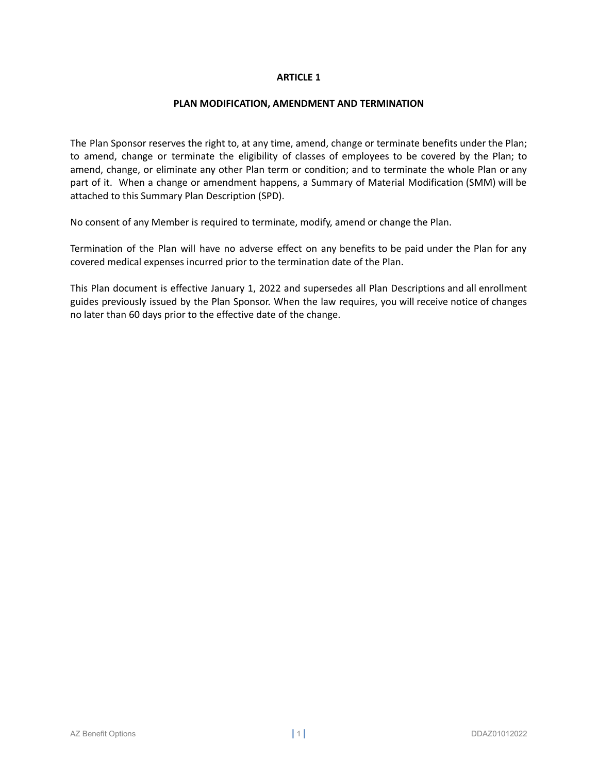#### **PLAN MODIFICATION, AMENDMENT AND TERMINATION**

<span id="page-2-0"></span>The Plan Sponsor reserves the right to, at any time, amend, change or terminate benefits under the Plan; to amend, change or terminate the eligibility of classes of employees to be covered by the Plan; to amend, change, or eliminate any other Plan term or condition; and to terminate the whole Plan or any part of it. When a change or amendment happens, a Summary of Material Modification (SMM) will be attached to this Summary Plan Description (SPD).

No consent of any Member is required to terminate, modify, amend or change the Plan.

Termination of the Plan will have no adverse effect on any benefits to be paid under the Plan for any covered medical expenses incurred prior to the termination date of the Plan.

This Plan document is effective January 1, 2022 and supersedes all Plan Descriptions and all enrollment guides previously issued by the Plan Sponsor. When the law requires, you will receive notice of changes no later than 60 days prior to the effective date of the change.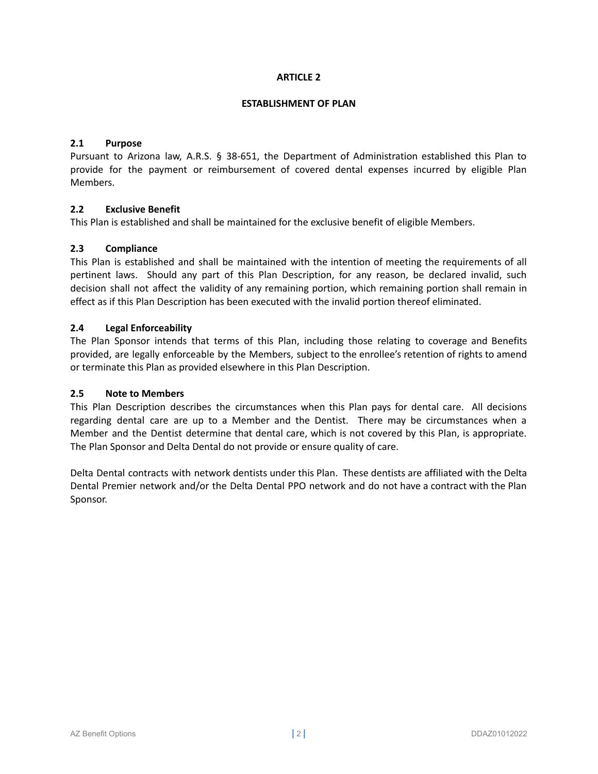#### **ESTABLISHMENT OF PLAN**

#### <span id="page-3-0"></span>**2.1 Purpose**

Pursuant to Arizona law, A.R.S. § 38-651, the Department of Administration established this Plan to provide for the payment or reimbursement of covered dental expenses incurred by eligible Plan Members.

#### **2.2 Exclusive Benefit**

This Plan is established and shall be maintained for the exclusive benefit of eligible Members.

#### **2.3 Compliance**

This Plan is established and shall be maintained with the intention of meeting the requirements of all pertinent laws. Should any part of this Plan Description, for any reason, be declared invalid, such decision shall not affect the validity of any remaining portion, which remaining portion shall remain in effect as if this Plan Description has been executed with the invalid portion thereof eliminated.

#### **2.4 Legal Enforceability**

The Plan Sponsor intends that terms of this Plan, including those relating to coverage and Benefits provided, are legally enforceable by the Members, subject to the enrollee's retention of rights to amend or terminate this Plan as provided elsewhere in this Plan Description.

#### **2.5 Note to Members**

This Plan Description describes the circumstances when this Plan pays for dental care. All decisions regarding dental care are up to a Member and the Dentist. There may be circumstances when a Member and the Dentist determine that dental care, which is not covered by this Plan, is appropriate. The Plan Sponsor and Delta Dental do not provide or ensure quality of care.

Delta Dental contracts with network dentists under this Plan. These dentists are affiliated with the Delta Dental Premier network and/or the Delta Dental PPO network and do not have a contract with the Plan Sponsor.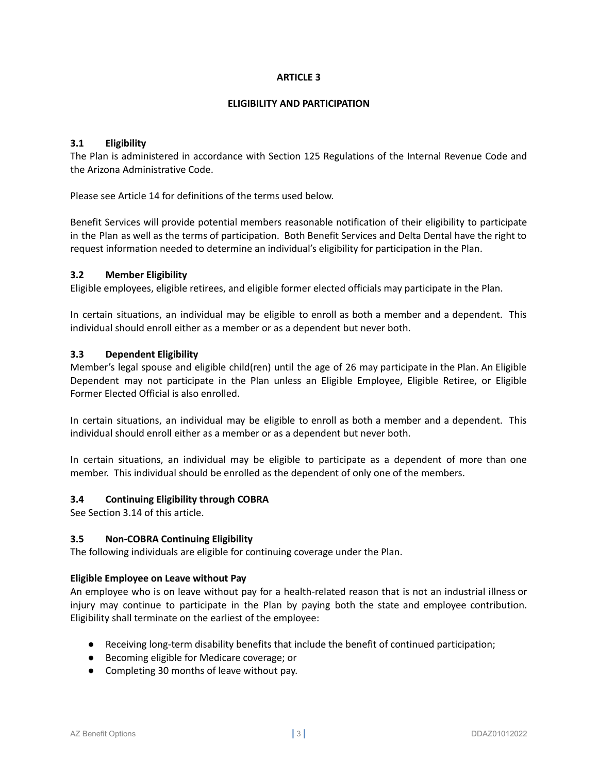#### **ELIGIBILITY AND PARTICIPATION**

#### <span id="page-4-0"></span>**3.1 Eligibility**

The Plan is administered in accordance with Section 125 Regulations of the Internal Revenue Code and the Arizona Administrative Code.

Please see Article 14 for definitions of the terms used below.

Benefit Services will provide potential members reasonable notification of their eligibility to participate in the Plan as well as the terms of participation. Both Benefit Services and Delta Dental have the right to request information needed to determine an individual's eligibility for participation in the Plan.

#### **3.2 Member Eligibility**

Eligible employees, eligible retirees, and eligible former elected officials may participate in the Plan.

In certain situations, an individual may be eligible to enroll as both a member and a dependent. This individual should enroll either as a member or as a dependent but never both.

#### **3.3 Dependent Eligibility**

Member's legal spouse and eligible child(ren) until the age of 26 may participate in the Plan. An Eligible Dependent may not participate in the Plan unless an Eligible Employee, Eligible Retiree, or Eligible Former Elected Official is also enrolled.

In certain situations, an individual may be eligible to enroll as both a member and a dependent. This individual should enroll either as a member or as a dependent but never both.

In certain situations, an individual may be eligible to participate as a dependent of more than one member. This individual should be enrolled as the dependent of only one of the members.

#### **3.4 Continuing Eligibility through COBRA**

See Section 3.14 of this article.

#### **3.5 Non-COBRA Continuing Eligibility**

The following individuals are eligible for continuing coverage under the Plan.

#### **Eligible Employee on Leave without Pay**

An employee who is on leave without pay for a health-related reason that is not an industrial illness or injury may continue to participate in the Plan by paying both the state and employee contribution. Eligibility shall terminate on the earliest of the employee:

- Receiving long-term disability benefits that include the benefit of continued participation;
- Becoming eligible for Medicare coverage; or
- Completing 30 months of leave without pay.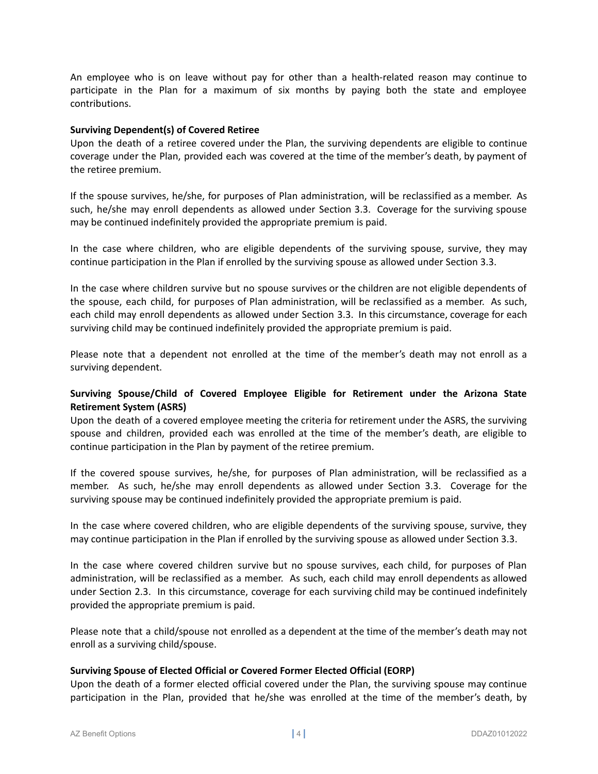An employee who is on leave without pay for other than a health-related reason may continue to participate in the Plan for a maximum of six months by paying both the state and employee contributions.

#### **Surviving Dependent(s) of Covered Retiree**

Upon the death of a retiree covered under the Plan, the surviving dependents are eligible to continue coverage under the Plan, provided each was covered at the time of the member's death, by payment of the retiree premium.

If the spouse survives, he/she, for purposes of Plan administration, will be reclassified as a member. As such, he/she may enroll dependents as allowed under Section 3.3. Coverage for the surviving spouse may be continued indefinitely provided the appropriate premium is paid.

In the case where children, who are eligible dependents of the surviving spouse, survive, they may continue participation in the Plan if enrolled by the surviving spouse as allowed under Section 3.3.

In the case where children survive but no spouse survives or the children are not eligible dependents of the spouse, each child, for purposes of Plan administration, will be reclassified as a member. As such, each child may enroll dependents as allowed under Section 3.3. In this circumstance, coverage for each surviving child may be continued indefinitely provided the appropriate premium is paid.

Please note that a dependent not enrolled at the time of the member's death may not enroll as a surviving dependent.

#### **Surviving Spouse/Child of Covered Employee Eligible for Retirement under the Arizona State Retirement System (ASRS)**

Upon the death of a covered employee meeting the criteria for retirement under the ASRS, the surviving spouse and children, provided each was enrolled at the time of the member's death, are eligible to continue participation in the Plan by payment of the retiree premium.

If the covered spouse survives, he/she, for purposes of Plan administration, will be reclassified as a member. As such, he/she may enroll dependents as allowed under Section 3.3. Coverage for the surviving spouse may be continued indefinitely provided the appropriate premium is paid.

In the case where covered children, who are eligible dependents of the surviving spouse, survive, they may continue participation in the Plan if enrolled by the surviving spouse as allowed under Section 3.3.

In the case where covered children survive but no spouse survives, each child, for purposes of Plan administration, will be reclassified as a member. As such, each child may enroll dependents as allowed under Section 2.3. In this circumstance, coverage for each surviving child may be continued indefinitely provided the appropriate premium is paid.

Please note that a child/spouse not enrolled as a dependent at the time of the member's death may not enroll as a surviving child/spouse.

#### **Surviving Spouse of Elected Official or Covered Former Elected Official (EORP)**

Upon the death of a former elected official covered under the Plan, the surviving spouse may continue participation in the Plan, provided that he/she was enrolled at the time of the member's death, by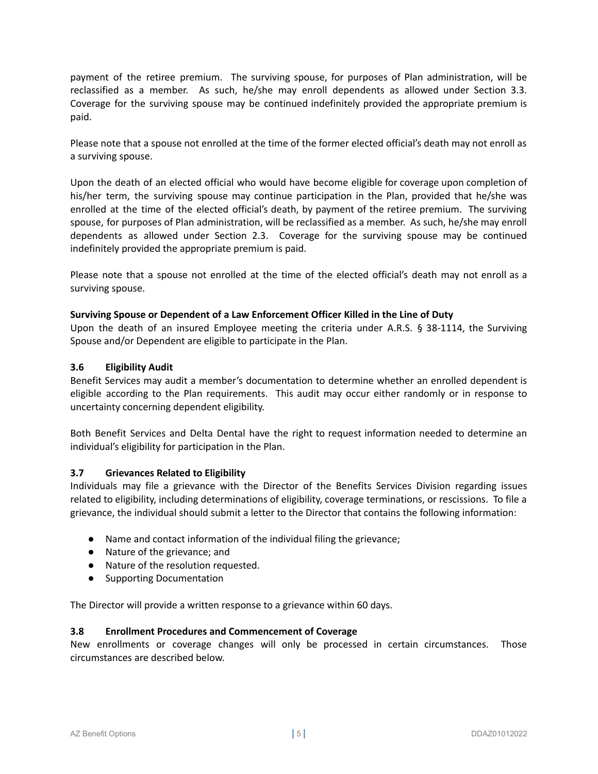payment of the retiree premium. The surviving spouse, for purposes of Plan administration, will be reclassified as a member. As such, he/she may enroll dependents as allowed under Section 3.3. Coverage for the surviving spouse may be continued indefinitely provided the appropriate premium is paid.

Please note that a spouse not enrolled at the time of the former elected official's death may not enroll as a surviving spouse.

Upon the death of an elected official who would have become eligible for coverage upon completion of his/her term, the surviving spouse may continue participation in the Plan, provided that he/she was enrolled at the time of the elected official's death, by payment of the retiree premium. The surviving spouse, for purposes of Plan administration, will be reclassified as a member. As such, he/she may enroll dependents as allowed under Section 2.3. Coverage for the surviving spouse may be continued indefinitely provided the appropriate premium is paid.

Please note that a spouse not enrolled at the time of the elected official's death may not enroll as a surviving spouse.

#### **Surviving Spouse or Dependent of a Law Enforcement Officer Killed in the Line of Duty**

Upon the death of an insured Employee meeting the criteria under A.R.S. § 38-1114, the Surviving Spouse and/or Dependent are eligible to participate in the Plan.

#### **3.6 Eligibility Audit**

Benefit Services may audit a member's documentation to determine whether an enrolled dependent is eligible according to the Plan requirements. This audit may occur either randomly or in response to uncertainty concerning dependent eligibility.

Both Benefit Services and Delta Dental have the right to request information needed to determine an individual's eligibility for participation in the Plan.

#### **3.7 Grievances Related to Eligibility**

Individuals may file a grievance with the Director of the Benefits Services Division regarding issues related to eligibility, including determinations of eligibility, coverage terminations, or rescissions. To file a grievance, the individual should submit a letter to the Director that contains the following information:

- Name and contact information of the individual filing the grievance;
- Nature of the grievance; and
- Nature of the resolution requested.
- Supporting Documentation

The Director will provide a written response to a grievance within 60 days.

#### **3.8 Enrollment Procedures and Commencement of Coverage**

New enrollments or coverage changes will only be processed in certain circumstances. Those circumstances are described below.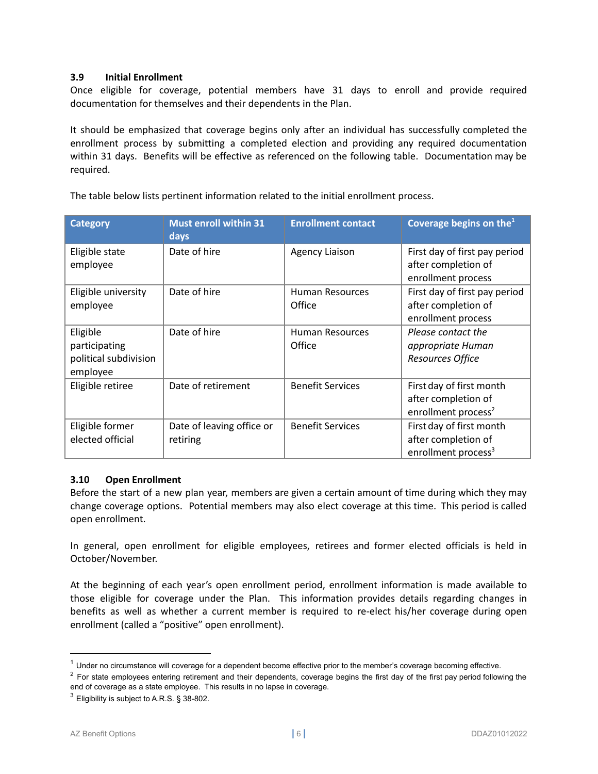#### **3.9 Initial Enrollment**

Once eligible for coverage, potential members have 31 days to enroll and provide required documentation for themselves and their dependents in the Plan.

It should be emphasized that coverage begins only after an individual has successfully completed the enrollment process by submitting a completed election and providing any required documentation within 31 days. Benefits will be effective as referenced on the following table. Documentation may be required.

The table below lists pertinent information related to the initial enrollment process.

| <b>Category</b>                                                | <b>Must enroll within 31</b><br>days  | <b>Enrollment contact</b>        | Coverage begins on the <sup>1</sup>                                                |
|----------------------------------------------------------------|---------------------------------------|----------------------------------|------------------------------------------------------------------------------------|
| Eligible state<br>employee                                     | Date of hire                          | <b>Agency Liaison</b>            | First day of first pay period<br>after completion of<br>enrollment process         |
| Eligible university<br>employee                                | Date of hire                          | Human Resources<br>Office        | First day of first pay period<br>after completion of<br>enrollment process         |
| Eligible<br>participating<br>political subdivision<br>employee | Date of hire                          | <b>Human Resources</b><br>Office | Please contact the<br>appropriate Human<br><b>Resources Office</b>                 |
| Eligible retiree                                               | Date of retirement                    | <b>Benefit Services</b>          | First day of first month<br>after completion of<br>enrollment process <sup>2</sup> |
| Eligible former<br>elected official                            | Date of leaving office or<br>retiring | <b>Benefit Services</b>          | First day of first month<br>after completion of<br>enrollment process <sup>3</sup> |

#### **3.10 Open Enrollment**

Before the start of a new plan year, members are given a certain amount of time during which they may change coverage options. Potential members may also elect coverage at this time. This period is called open enrollment.

In general, open enrollment for eligible employees, retirees and former elected officials is held in October/November.

At the beginning of each year's open enrollment period, enrollment information is made available to those eligible for coverage under the Plan. This information provides details regarding changes in benefits as well as whether a current member is required to re-elect his/her coverage during open enrollment (called a "positive" open enrollment).

 $1$  Under no circumstance will coverage for a dependent become effective prior to the member's coverage becoming effective.

 $2$  For state employees entering retirement and their dependents, coverage begins the first day of the first pay period following the end of coverage as a state employee. This results in no lapse in coverage.

 $3$  Eligibility is subject to A.R.S. § 38-802.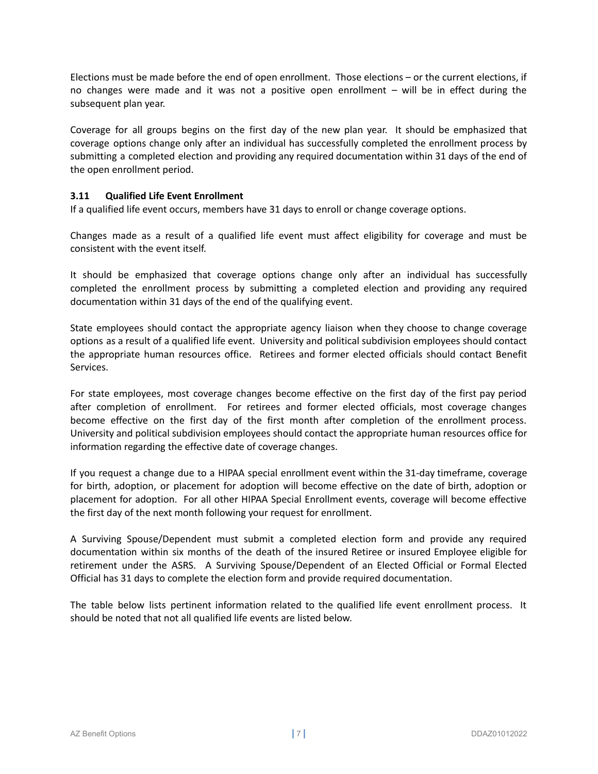Elections must be made before the end of open enrollment. Those elections – or the current elections, if no changes were made and it was not a positive open enrollment – will be in effect during the subsequent plan year.

Coverage for all groups begins on the first day of the new plan year. It should be emphasized that coverage options change only after an individual has successfully completed the enrollment process by submitting a completed election and providing any required documentation within 31 days of the end of the open enrollment period.

#### **3.11 Qualified Life Event Enrollment**

If a qualified life event occurs, members have 31 days to enroll or change coverage options.

Changes made as a result of a qualified life event must affect eligibility for coverage and must be consistent with the event itself.

It should be emphasized that coverage options change only after an individual has successfully completed the enrollment process by submitting a completed election and providing any required documentation within 31 days of the end of the qualifying event.

State employees should contact the appropriate agency liaison when they choose to change coverage options as a result of a qualified life event. University and political subdivision employees should contact the appropriate human resources office. Retirees and former elected officials should contact Benefit Services.

For state employees, most coverage changes become effective on the first day of the first pay period after completion of enrollment. For retirees and former elected officials, most coverage changes become effective on the first day of the first month after completion of the enrollment process. University and political subdivision employees should contact the appropriate human resources office for information regarding the effective date of coverage changes.

If you request a change due to a HIPAA special enrollment event within the 31-day timeframe, coverage for birth, adoption, or placement for adoption will become effective on the date of birth, adoption or placement for adoption. For all other HIPAA Special Enrollment events, coverage will become effective the first day of the next month following your request for enrollment.

A Surviving Spouse/Dependent must submit a completed election form and provide any required documentation within six months of the death of the insured Retiree or insured Employee eligible for retirement under the ASRS. A Surviving Spouse/Dependent of an Elected Official or Formal Elected Official has 31 days to complete the election form and provide required documentation.

The table below lists pertinent information related to the qualified life event enrollment process. It should be noted that not all qualified life events are listed below.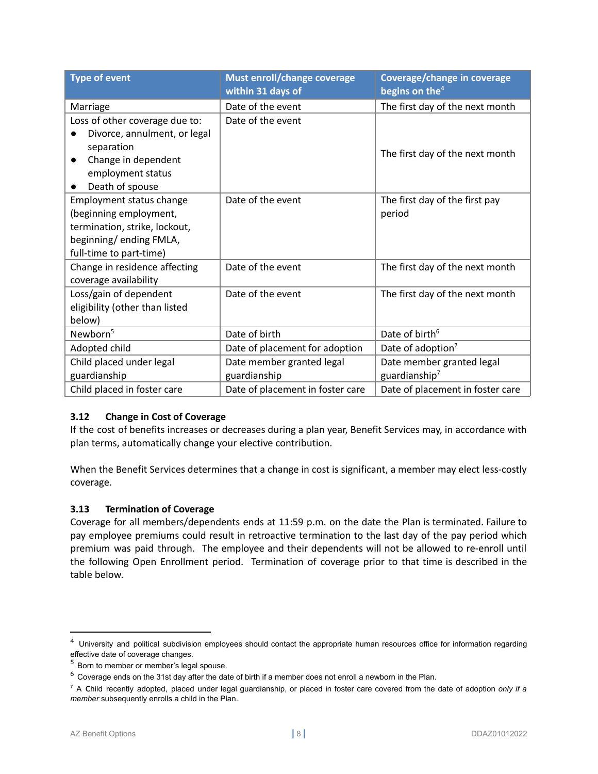| <b>Type of event</b>                                                                                                                        | Must enroll/change coverage<br>within 31 days of | Coverage/change in coverage<br>begins on the <sup>4</sup> |
|---------------------------------------------------------------------------------------------------------------------------------------------|--------------------------------------------------|-----------------------------------------------------------|
| Marriage                                                                                                                                    | Date of the event                                | The first day of the next month                           |
| Loss of other coverage due to:<br>Divorce, annulment, or legal<br>separation<br>Change in dependent<br>employment status<br>Death of spouse | Date of the event                                | The first day of the next month                           |
| Employment status change<br>(beginning employment,<br>termination, strike, lockout,<br>beginning/ending FMLA,<br>full-time to part-time)    | Date of the event                                | The first day of the first pay<br>period                  |
| Change in residence affecting<br>coverage availability                                                                                      | Date of the event                                | The first day of the next month                           |
| Loss/gain of dependent<br>eligibility (other than listed<br>below)                                                                          | Date of the event                                | The first day of the next month                           |
| Newborn <sup>5</sup>                                                                                                                        | Date of birth                                    | Date of birth <sup>6</sup>                                |
| Adopted child                                                                                                                               | Date of placement for adoption                   | Date of adoption <sup>7</sup>                             |
| Child placed under legal<br>guardianship                                                                                                    | Date member granted legal<br>guardianship        | Date member granted legal<br>guardianship <sup>7</sup>    |
| Child placed in foster care                                                                                                                 | Date of placement in foster care                 | Date of placement in foster care                          |

#### **3.12 Change in Cost of Coverage**

If the cost of benefits increases or decreases during a plan year, Benefit Services may, in accordance with plan terms, automatically change your elective contribution.

When the Benefit Services determines that a change in cost is significant, a member may elect less-costly coverage.

#### **3.13 Termination of Coverage**

Coverage for all members/dependents ends at 11:59 p.m. on the date the Plan is terminated. Failure to pay employee premiums could result in retroactive termination to the last day of the pay period which premium was paid through. The employee and their dependents will not be allowed to re-enroll until the following Open Enrollment period. Termination of coverage prior to that time is described in the table below.

<sup>&</sup>lt;sup>4</sup> University and political subdivision employees should contact the appropriate human resources office for information regarding effective date of coverage changes.

<sup>&</sup>lt;sup>5</sup> Born to member or member's legal spouse.

 $6$  Coverage ends on the 31st day after the date of birth if a member does not enroll a newborn in the Plan.

<sup>7</sup> A child recently adopted, placed under legal guardianship, or placed in foster care covered from the date of adoption *only if a member* subsequently enrolls a child in the Plan.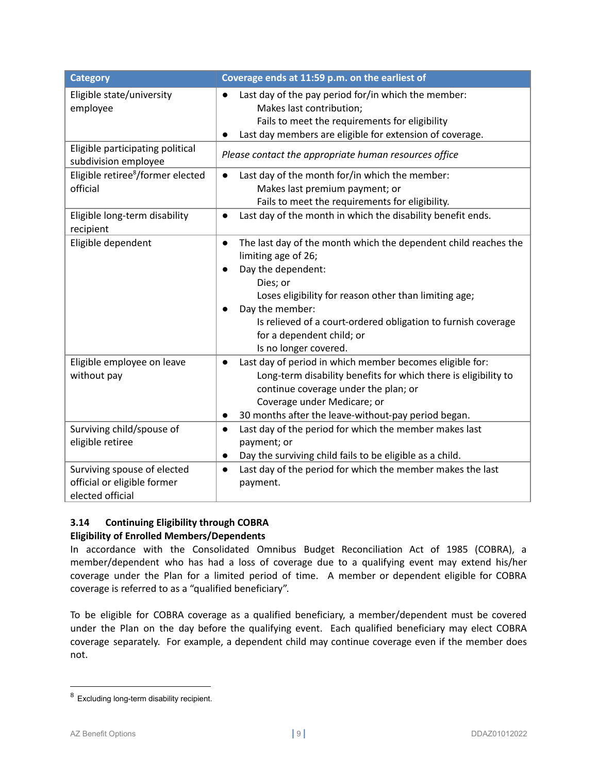| <b>Category</b>                                                                | Coverage ends at 11:59 p.m. on the earliest of                                                                                                                                                                                                                                                                                           |
|--------------------------------------------------------------------------------|------------------------------------------------------------------------------------------------------------------------------------------------------------------------------------------------------------------------------------------------------------------------------------------------------------------------------------------|
| Eligible state/university<br>employee                                          | Last day of the pay period for/in which the member:<br>Makes last contribution;<br>Fails to meet the requirements for eligibility<br>Last day members are eligible for extension of coverage.                                                                                                                                            |
| Eligible participating political<br>subdivision employee                       | Please contact the appropriate human resources office                                                                                                                                                                                                                                                                                    |
| Eligible retiree <sup>8</sup> /former elected<br>official                      | Last day of the month for/in which the member:<br>$\bullet$<br>Makes last premium payment; or<br>Fails to meet the requirements for eligibility.                                                                                                                                                                                         |
| Eligible long-term disability<br>recipient                                     | Last day of the month in which the disability benefit ends.<br>$\bullet$                                                                                                                                                                                                                                                                 |
| Eligible dependent                                                             | The last day of the month which the dependent child reaches the<br>$\bullet$<br>limiting age of 26;<br>Day the dependent:<br>Dies; or<br>Loses eligibility for reason other than limiting age;<br>Day the member:<br>Is relieved of a court-ordered obligation to furnish coverage<br>for a dependent child; or<br>Is no longer covered. |
| Eligible employee on leave<br>without pay                                      | Last day of period in which member becomes eligible for:<br>$\bullet$<br>Long-term disability benefits for which there is eligibility to<br>continue coverage under the plan; or<br>Coverage under Medicare; or<br>30 months after the leave-without-pay period began.<br>$\bullet$                                                      |
| Surviving child/spouse of<br>eligible retiree                                  | Last day of the period for which the member makes last<br>$\bullet$<br>payment; or<br>Day the surviving child fails to be eligible as a child.<br>$\bullet$                                                                                                                                                                              |
| Surviving spouse of elected<br>official or eligible former<br>elected official | Last day of the period for which the member makes the last<br>$\bullet$<br>payment.                                                                                                                                                                                                                                                      |

### **3.14 Continuing Eligibility through COBRA**

#### **Eligibility of Enrolled Members/Dependents**

In accordance with the Consolidated Omnibus Budget Reconciliation Act of 1985 (COBRA), a member/dependent who has had a loss of coverage due to a qualifying event may extend his/her coverage under the Plan for a limited period of time. A member or dependent eligible for COBRA coverage is referred to as a "qualified beneficiary".

To be eligible for COBRA coverage as a qualified beneficiary, a member/dependent must be covered under the Plan on the day before the qualifying event. Each qualified beneficiary may elect COBRA coverage separately. For example, a dependent child may continue coverage even if the member does not.

<sup>8</sup> Excluding long-term disability recipient.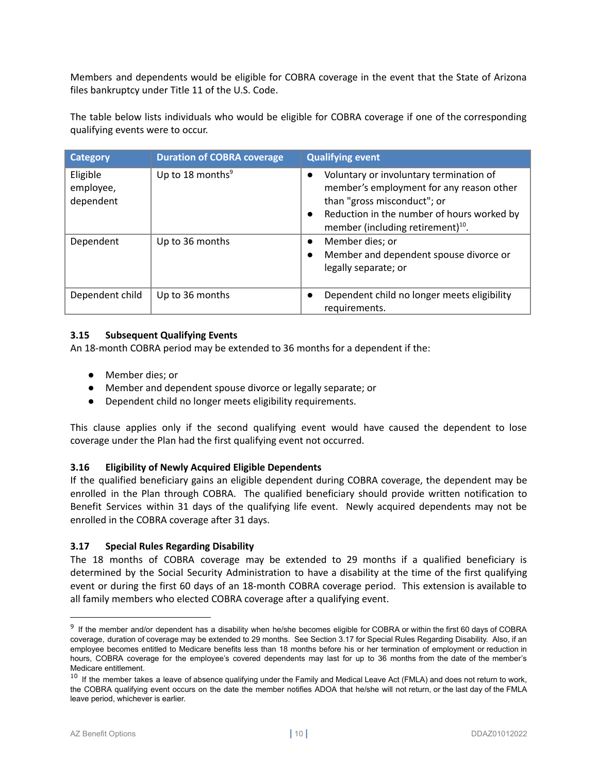Members and dependents would be eligible for COBRA coverage in the event that the State of Arizona files bankruptcy under Title 11 of the U.S. Code.

The table below lists individuals who would be eligible for COBRA coverage if one of the corresponding qualifying events were to occur.

| <b>Category</b>                    | <b>Duration of COBRA coverage</b> | <b>Qualifying event</b>                                                                                                                                                                                                                     |
|------------------------------------|-----------------------------------|---------------------------------------------------------------------------------------------------------------------------------------------------------------------------------------------------------------------------------------------|
| Eligible<br>employee,<br>dependent | Up to 18 months $9$               | Voluntary or involuntary termination of<br>$\bullet$<br>member's employment for any reason other<br>than "gross misconduct"; or<br>Reduction in the number of hours worked by<br>$\bullet$<br>member (including retirement) <sup>10</sup> . |
| Dependent                          | Up to 36 months                   | Member dies; or<br>$\bullet$<br>Member and dependent spouse divorce or<br>$\bullet$<br>legally separate; or                                                                                                                                 |
| Dependent child                    | Up to 36 months                   | Dependent child no longer meets eligibility<br>requirements.                                                                                                                                                                                |

#### **3.15 Subsequent Qualifying Events**

An 18-month COBRA period may be extended to 36 months for a dependent if the:

- Member dies; or
- Member and dependent spouse divorce or legally separate; or
- Dependent child no longer meets eligibility requirements.

This clause applies only if the second qualifying event would have caused the dependent to lose coverage under the Plan had the first qualifying event not occurred.

#### **3.16 Eligibility of Newly Acquired Eligible Dependents**

If the qualified beneficiary gains an eligible dependent during COBRA coverage, the dependent may be enrolled in the Plan through COBRA. The qualified beneficiary should provide written notification to Benefit Services within 31 days of the qualifying life event. Newly acquired dependents may not be enrolled in the COBRA coverage after 31 days.

#### **3.17 Special Rules Regarding Disability**

The 18 months of COBRA coverage may be extended to 29 months if a qualified beneficiary is determined by the Social Security Administration to have a disability at the time of the first qualifying event or during the first 60 days of an 18-month COBRA coverage period. This extension is available to all family members who elected COBRA coverage after a qualifying event.

 $9$  If the member and/or dependent has a disability when he/she becomes eligible for COBRA or within the first 60 days of COBRA coverage, duration of coverage may be extended to 29 months. See Section 3.17 for Special Rules Regarding Disability. Also, if an employee becomes entitled to Medicare benefits less than 18 months before his or her termination of employment or reduction in hours, COBRA coverage for the employee's covered dependents may last for up to 36 months from the date of the member's Medicare entitlement.

<sup>&</sup>lt;sup>10</sup> If the member takes a leave of absence qualifying under the Family and Medical Leave Act (FMLA) and does not return to work, the COBRA qualifying event occurs on the date the member notifies ADOA that he/she will not return, or the last day of the FMLA leave period, whichever is earlier.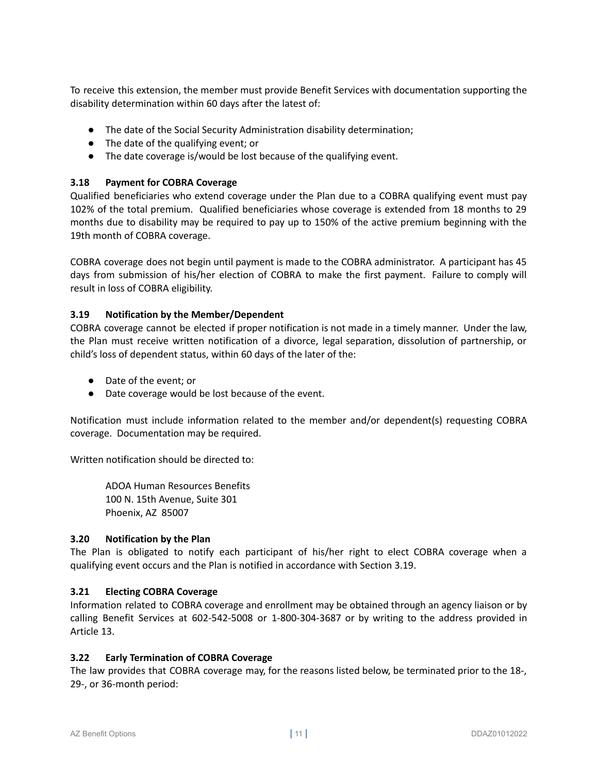To receive this extension, the member must provide Benefit Services with documentation supporting the disability determination within 60 days after the latest of:

- The date of the Social Security Administration disability determination;
- The date of the qualifying event; or
- The date coverage is/would be lost because of the qualifying event.

#### **3.18 Payment for COBRA Coverage**

Qualified beneficiaries who extend coverage under the Plan due to a COBRA qualifying event must pay 102% of the total premium. Qualified beneficiaries whose coverage is extended from 18 months to 29 months due to disability may be required to pay up to 150% of the active premium beginning with the 19th month of COBRA coverage.

COBRA coverage does not begin until payment is made to the COBRA administrator. A participant has 45 days from submission of his/her election of COBRA to make the first payment. Failure to comply will result in loss of COBRA eligibility.

#### **3.19 Notification by the Member/Dependent**

COBRA coverage cannot be elected if proper notification is not made in a timely manner. Under the law, the Plan must receive written notification of a divorce, legal separation, dissolution of partnership, or child's loss of dependent status, within 60 days of the later of the:

- Date of the event; or
- Date coverage would be lost because of the event.

Notification must include information related to the member and/or dependent(s) requesting COBRA coverage. Documentation may be required.

Written notification should be directed to:

ADOA Human Resources Benefits 100 N. 15th Avenue, Suite 301 Phoenix, AZ 85007

#### **3.20 Notification by the Plan**

The Plan is obligated to notify each participant of his/her right to elect COBRA coverage when a qualifying event occurs and the Plan is notified in accordance with Section 3.19.

#### **3.21 Electing COBRA Coverage**

Information related to COBRA coverage and enrollment may be obtained through an agency liaison or by calling Benefit Services at 602-542-5008 or 1-800-304-3687 or by writing to the address provided in Article 13.

#### **3.22 Early Termination of COBRA Coverage**

The law provides that COBRA coverage may, for the reasons listed below, be terminated prior to the 18-, 29-, or 36-month period: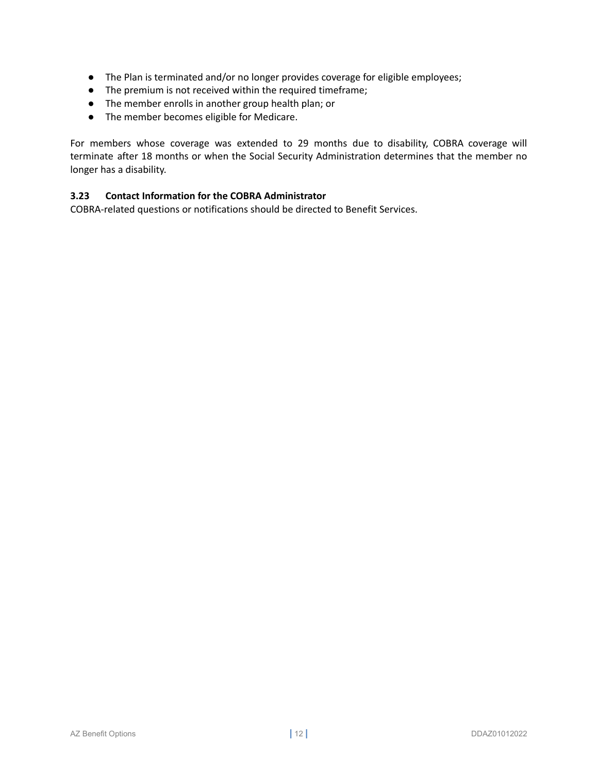- The Plan is terminated and/or no longer provides coverage for eligible employees;
- The premium is not received within the required timeframe;
- The member enrolls in another group health plan; or
- The member becomes eligible for Medicare.

For members whose coverage was extended to 29 months due to disability, COBRA coverage will terminate after 18 months or when the Social Security Administration determines that the member no longer has a disability.

#### **3.23 Contact Information for the COBRA Administrator**

COBRA-related questions or notifications should be directed to Benefit Services.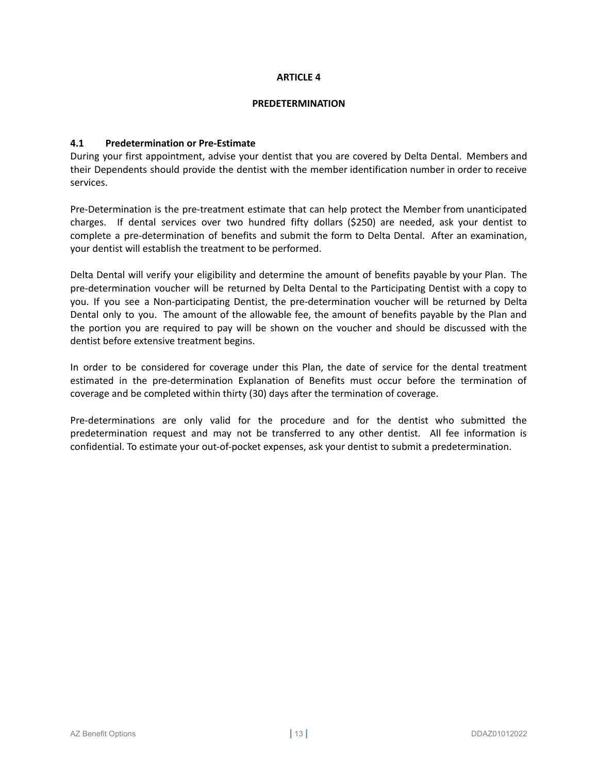#### **PREDETERMINATION**

#### <span id="page-14-0"></span>**4.1 Predetermination or Pre-Estimate**

During your first appointment, advise your dentist that you are covered by Delta Dental. Members and their Dependents should provide the dentist with the member identification number in order to receive services.

Pre-Determination is the pre-treatment estimate that can help protect the Member from unanticipated charges. If dental services over two hundred fifty dollars (\$250) are needed, ask your dentist to complete a pre-determination of benefits and submit the form to Delta Dental. After an examination, your dentist will establish the treatment to be performed.

Delta Dental will verify your eligibility and determine the amount of benefits payable by your Plan. The pre-determination voucher will be returned by Delta Dental to the Participating Dentist with a copy to you. If you see a Non-participating Dentist, the pre-determination voucher will be returned by Delta Dental only to you. The amount of the allowable fee, the amount of benefits payable by the Plan and the portion you are required to pay will be shown on the voucher and should be discussed with the dentist before extensive treatment begins.

In order to be considered for coverage under this Plan, the date of service for the dental treatment estimated in the pre-determination Explanation of Benefits must occur before the termination of coverage and be completed within thirty (30) days after the termination of coverage.

Pre-determinations are only valid for the procedure and for the dentist who submitted the predetermination request and may not be transferred to any other dentist. All fee information is confidential. To estimate your out-of-pocket expenses, ask your dentist to submit a predetermination.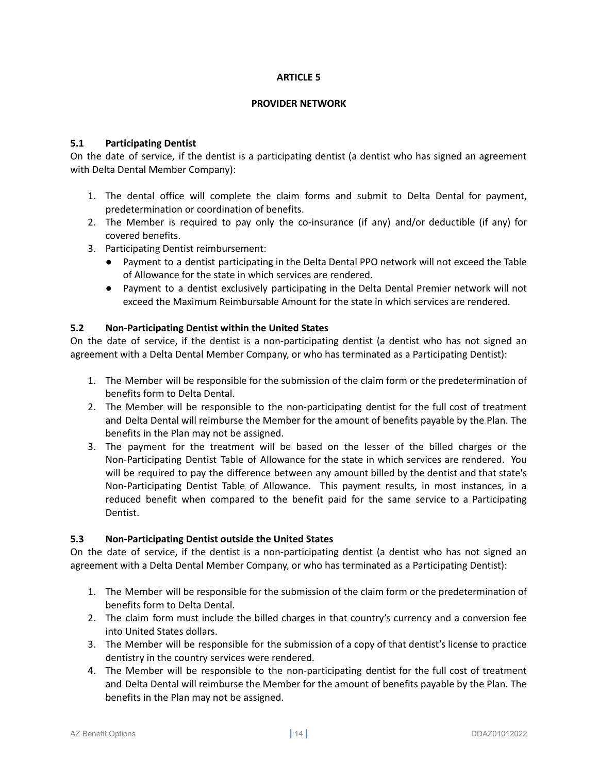#### **PROVIDER NETWORK**

#### <span id="page-15-0"></span>**5.1 Participating Dentist**

On the date of service, if the dentist is a participating dentist (a dentist who has signed an agreement with Delta Dental Member Company):

- 1. The dental office will complete the claim forms and submit to Delta Dental for payment, predetermination or coordination of benefits.
- 2. The Member is required to pay only the co-insurance (if any) and/or deductible (if any) for covered benefits.
- 3. Participating Dentist reimbursement:
	- Payment to a dentist participating in the Delta Dental PPO network will not exceed the Table of Allowance for the state in which services are rendered.
	- Payment to a dentist exclusively participating in the Delta Dental Premier network will not exceed the Maximum Reimbursable Amount for the state in which services are rendered.

#### **5.2 Non-Participating Dentist within the United States**

On the date of service, if the dentist is a non-participating dentist (a dentist who has not signed an agreement with a Delta Dental Member Company, or who has terminated as a Participating Dentist):

- 1. The Member will be responsible for the submission of the claim form or the predetermination of benefits form to Delta Dental.
- 2. The Member will be responsible to the non-participating dentist for the full cost of treatment and Delta Dental will reimburse the Member for the amount of benefits payable by the Plan. The benefits in the Plan may not be assigned.
- 3. The payment for the treatment will be based on the lesser of the billed charges or the Non-Participating Dentist Table of Allowance for the state in which services are rendered. You will be required to pay the difference between any amount billed by the dentist and that state's Non-Participating Dentist Table of Allowance. This payment results, in most instances, in a reduced benefit when compared to the benefit paid for the same service to a Participating Dentist.

#### **5.3 Non-Participating Dentist outside the United States**

On the date of service, if the dentist is a non-participating dentist (a dentist who has not signed an agreement with a Delta Dental Member Company, or who has terminated as a Participating Dentist):

- 1. The Member will be responsible for the submission of the claim form or the predetermination of benefits form to Delta Dental.
- 2. The claim form must include the billed charges in that country's currency and a conversion fee into United States dollars.
- 3. The Member will be responsible for the submission of a copy of that dentist's license to practice dentistry in the country services were rendered.
- 4. The Member will be responsible to the non-participating dentist for the full cost of treatment and Delta Dental will reimburse the Member for the amount of benefits payable by the Plan. The benefits in the Plan may not be assigned.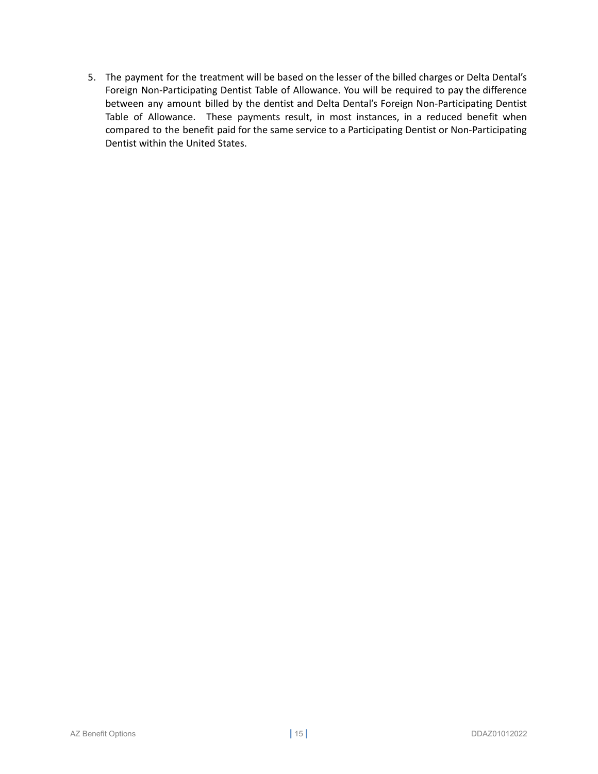5. The payment for the treatment will be based on the lesser of the billed charges or Delta Dental's Foreign Non-Participating Dentist Table of Allowance. You will be required to pay the difference between any amount billed by the dentist and Delta Dental's Foreign Non-Participating Dentist Table of Allowance. These payments result, in most instances, in a reduced benefit when compared to the benefit paid for the same service to a Participating Dentist or Non-Participating Dentist within the United States.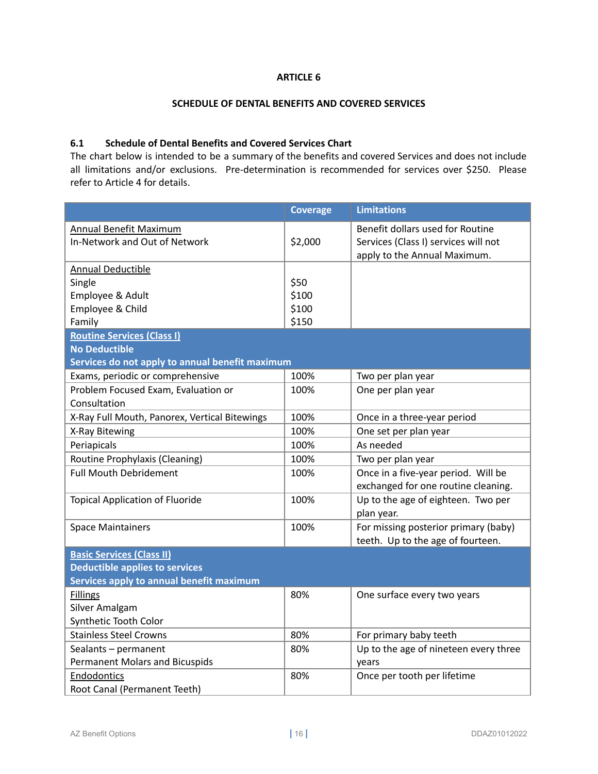#### **SCHEDULE OF DENTAL BENEFITS AND COVERED SERVICES**

#### <span id="page-17-0"></span>**6.1 Schedule of Dental Benefits and Covered Services Chart**

The chart below is intended to be a summary of the benefits and covered Services and does not include all limitations and/or exclusions. Pre-determination is recommended for services over \$250. Please refer to Article 4 for details.

|                                                 | <b>Coverage</b> | <b>Limitations</b>                                                         |
|-------------------------------------------------|-----------------|----------------------------------------------------------------------------|
| <b>Annual Benefit Maximum</b>                   |                 | Benefit dollars used for Routine                                           |
| In-Network and Out of Network                   | \$2,000         | Services (Class I) services will not                                       |
|                                                 |                 | apply to the Annual Maximum.                                               |
| <b>Annual Deductible</b>                        |                 |                                                                            |
| Single                                          | \$50<br>\$100   |                                                                            |
| Employee & Adult<br>Employee & Child            | \$100           |                                                                            |
| Family                                          | \$150           |                                                                            |
| <b>Routine Services (Class I)</b>               |                 |                                                                            |
| <b>No Deductible</b>                            |                 |                                                                            |
| Services do not apply to annual benefit maximum |                 |                                                                            |
| Exams, periodic or comprehensive                | 100%            | Two per plan year                                                          |
| Problem Focused Exam, Evaluation or             | 100%            | One per plan year                                                          |
| Consultation                                    |                 |                                                                            |
| X-Ray Full Mouth, Panorex, Vertical Bitewings   | 100%            | Once in a three-year period                                                |
| X-Ray Bitewing                                  | 100%            | One set per plan year                                                      |
| Periapicals                                     | 100%            | As needed                                                                  |
| Routine Prophylaxis (Cleaning)                  | 100%            | Two per plan year                                                          |
| <b>Full Mouth Debridement</b>                   | 100%            | Once in a five-year period. Will be<br>exchanged for one routine cleaning. |
| <b>Topical Application of Fluoride</b>          | 100%            | Up to the age of eighteen. Two per<br>plan year.                           |
| <b>Space Maintainers</b>                        | 100%            | For missing posterior primary (baby)                                       |
|                                                 |                 | teeth. Up to the age of fourteen.                                          |
| <b>Basic Services (Class II)</b>                |                 |                                                                            |
| <b>Deductible applies to services</b>           |                 |                                                                            |
| Services apply to annual benefit maximum        |                 |                                                                            |
| <b>Fillings</b>                                 | 80%             | One surface every two years                                                |
| Silver Amalgam                                  |                 |                                                                            |
| Synthetic Tooth Color                           |                 |                                                                            |
| <b>Stainless Steel Crowns</b>                   | 80%             | For primary baby teeth                                                     |
| Sealants - permanent                            | 80%             | Up to the age of nineteen every three                                      |
| <b>Permanent Molars and Bicuspids</b>           |                 | years                                                                      |
| Endodontics                                     | 80%             | Once per tooth per lifetime                                                |
| Root Canal (Permanent Teeth)                    |                 |                                                                            |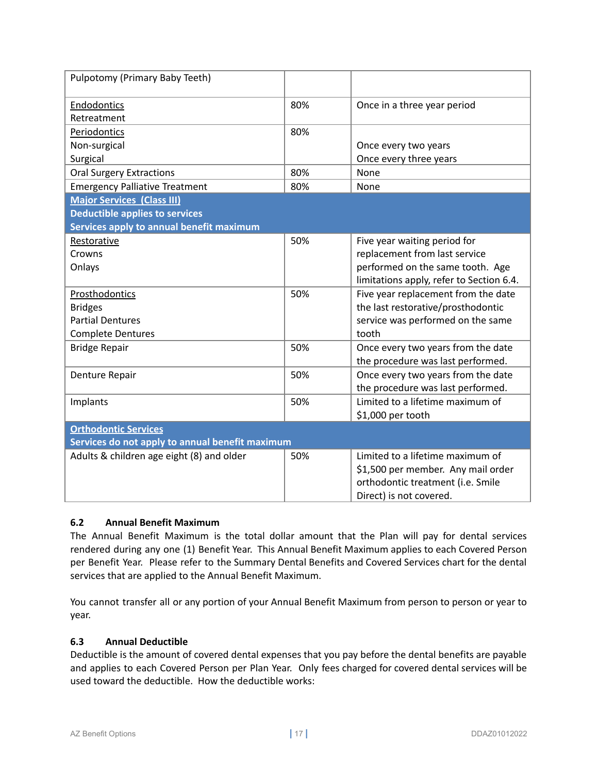| Pulpotomy (Primary Baby Teeth)                  |     |                                          |
|-------------------------------------------------|-----|------------------------------------------|
| Endodontics                                     | 80% | Once in a three year period              |
| Retreatment                                     |     |                                          |
| Periodontics                                    | 80% |                                          |
| Non-surgical                                    |     | Once every two years                     |
| Surgical                                        |     | Once every three years                   |
| <b>Oral Surgery Extractions</b>                 | 80% | None                                     |
| <b>Emergency Palliative Treatment</b>           | 80% | None                                     |
| <b>Major Services (Class III)</b>               |     |                                          |
| <b>Deductible applies to services</b>           |     |                                          |
| Services apply to annual benefit maximum        |     |                                          |
| Restorative                                     | 50% | Five year waiting period for             |
| Crowns                                          |     | replacement from last service            |
| Onlays                                          |     | performed on the same tooth. Age         |
|                                                 |     | limitations apply, refer to Section 6.4. |
| Prosthodontics                                  | 50% | Five year replacement from the date      |
| <b>Bridges</b>                                  |     | the last restorative/prosthodontic       |
| <b>Partial Dentures</b>                         |     | service was performed on the same        |
| <b>Complete Dentures</b>                        |     | tooth                                    |
| <b>Bridge Repair</b>                            | 50% | Once every two years from the date       |
|                                                 |     | the procedure was last performed.        |
| Denture Repair                                  | 50% | Once every two years from the date       |
|                                                 |     | the procedure was last performed.        |
| Implants                                        | 50% | Limited to a lifetime maximum of         |
|                                                 |     | \$1,000 per tooth                        |
| <b>Orthodontic Services</b>                     |     |                                          |
| Services do not apply to annual benefit maximum |     |                                          |
| Adults & children age eight (8) and older       | 50% | Limited to a lifetime maximum of         |
|                                                 |     | \$1,500 per member. Any mail order       |
|                                                 |     | orthodontic treatment (i.e. Smile        |
|                                                 |     | Direct) is not covered.                  |

#### **6.2 Annual Benefit Maximum**

The Annual Benefit Maximum is the total dollar amount that the Plan will pay for dental services rendered during any one (1) Benefit Year. This Annual Benefit Maximum applies to each Covered Person per Benefit Year. Please refer to the Summary Dental Benefits and Covered Services chart for the dental services that are applied to the Annual Benefit Maximum.

You cannot transfer all or any portion of your Annual Benefit Maximum from person to person or year to year.

#### **6.3 Annual Deductible**

Deductible is the amount of covered dental expenses that you pay before the dental benefits are payable and applies to each Covered Person per Plan Year. Only fees charged for covered dental services will be used toward the deductible. How the deductible works: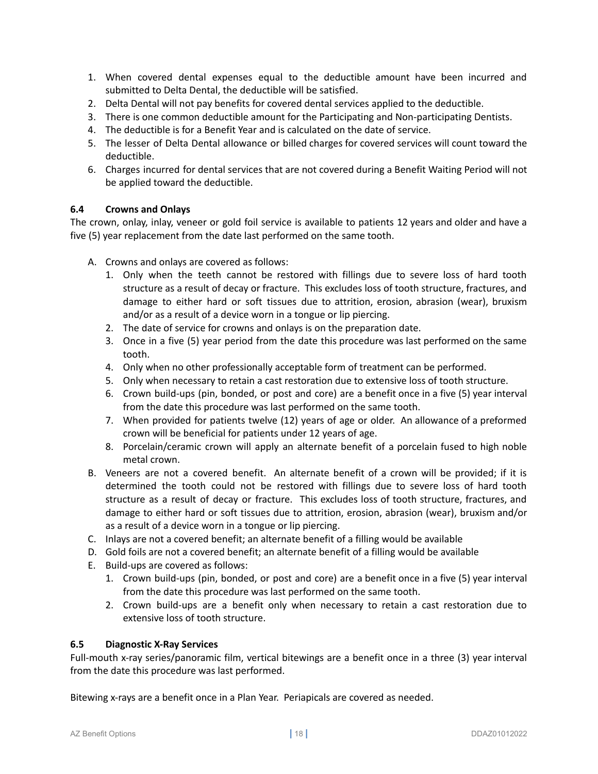- 1. When covered dental expenses equal to the deductible amount have been incurred and submitted to Delta Dental, the deductible will be satisfied.
- 2. Delta Dental will not pay benefits for covered dental services applied to the deductible.
- 3. There is one common deductible amount for the Participating and Non-participating Dentists.
- 4. The deductible is for a Benefit Year and is calculated on the date of service.
- 5. The lesser of Delta Dental allowance or billed charges for covered services will count toward the deductible.
- 6. Charges incurred for dental services that are not covered during a Benefit Waiting Period will not be applied toward the deductible.

#### **6.4 Crowns and Onlays**

The crown, onlay, inlay, veneer or gold foil service is available to patients 12 years and older and have a five (5) year replacement from the date last performed on the same tooth.

- A. Crowns and onlays are covered as follows:
	- 1. Only when the teeth cannot be restored with fillings due to severe loss of hard tooth structure as a result of decay or fracture. This excludes loss of tooth structure, fractures, and damage to either hard or soft tissues due to attrition, erosion, abrasion (wear), bruxism and/or as a result of a device worn in a tongue or lip piercing.
	- 2. The date of service for crowns and onlays is on the preparation date.
	- 3. Once in a five (5) year period from the date this procedure was last performed on the same tooth.
	- 4. Only when no other professionally acceptable form of treatment can be performed.
	- 5. Only when necessary to retain a cast restoration due to extensive loss of tooth structure.
	- 6. Crown build-ups (pin, bonded, or post and core) are a benefit once in a five (5) year interval from the date this procedure was last performed on the same tooth.
	- 7. When provided for patients twelve (12) years of age or older. An allowance of a preformed crown will be beneficial for patients under 12 years of age.
	- 8. Porcelain/ceramic crown will apply an alternate benefit of a porcelain fused to high noble metal crown.
- B. Veneers are not a covered benefit. An alternate benefit of a crown will be provided; if it is determined the tooth could not be restored with fillings due to severe loss of hard tooth structure as a result of decay or fracture. This excludes loss of tooth structure, fractures, and damage to either hard or soft tissues due to attrition, erosion, abrasion (wear), bruxism and/or as a result of a device worn in a tongue or lip piercing.
- C. Inlays are not a covered benefit; an alternate benefit of a filling would be available
- D. Gold foils are not a covered benefit; an alternate benefit of a filling would be available
- E. Build-ups are covered as follows:
	- 1. Crown build-ups (pin, bonded, or post and core) are a benefit once in a five (5) year interval from the date this procedure was last performed on the same tooth.
	- 2. Crown build-ups are a benefit only when necessary to retain a cast restoration due to extensive loss of tooth structure.

#### **6.5 Diagnostic X-Ray Services**

Full-mouth x-ray series/panoramic film, vertical bitewings are a benefit once in a three (3) year interval from the date this procedure was last performed.

Bitewing x-rays are a benefit once in a Plan Year. Periapicals are covered as needed.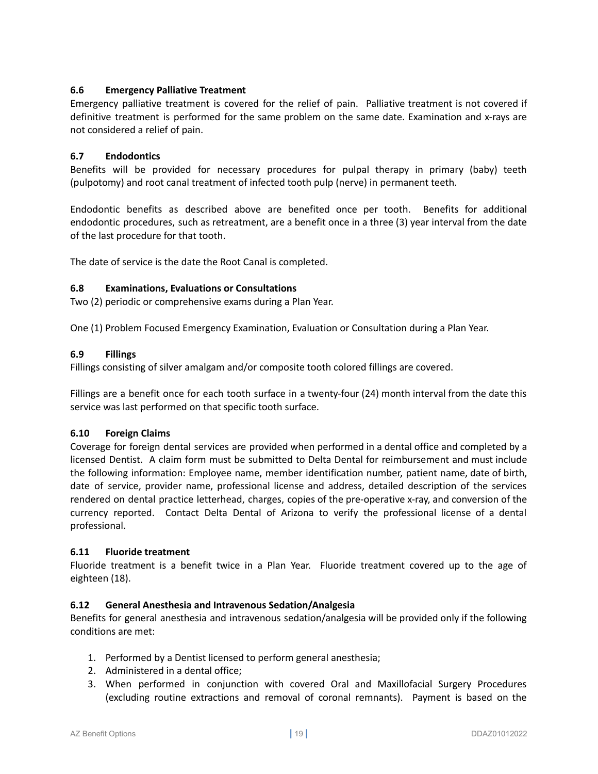#### **6.6 Emergency Palliative Treatment**

Emergency palliative treatment is covered for the relief of pain. Palliative treatment is not covered if definitive treatment is performed for the same problem on the same date. Examination and x-rays are not considered a relief of pain.

#### **6.7 Endodontics**

Benefits will be provided for necessary procedures for pulpal therapy in primary (baby) teeth (pulpotomy) and root canal treatment of infected tooth pulp (nerve) in permanent teeth.

Endodontic benefits as described above are benefited once per tooth. Benefits for additional endodontic procedures, such as retreatment, are a benefit once in a three (3) year interval from the date of the last procedure for that tooth.

The date of service is the date the Root Canal is completed.

#### **6.8 Examinations, Evaluations or Consultations**

Two (2) periodic or comprehensive exams during a Plan Year.

One (1) Problem Focused Emergency Examination, Evaluation or Consultation during a Plan Year.

#### **6.9 Fillings**

Fillings consisting of silver amalgam and/or composite tooth colored fillings are covered.

Fillings are a benefit once for each tooth surface in a twenty-four (24) month interval from the date this service was last performed on that specific tooth surface.

#### **6.10 Foreign Claims**

Coverage for foreign dental services are provided when performed in a dental office and completed by a licensed Dentist. A claim form must be submitted to Delta Dental for reimbursement and must include the following information: Employee name, member identification number, patient name, date of birth, date of service, provider name, professional license and address, detailed description of the services rendered on dental practice letterhead, charges, copies of the pre-operative x-ray, and conversion of the currency reported. Contact Delta Dental of Arizona to verify the professional license of a dental professional.

#### **6.11 Fluoride treatment**

Fluoride treatment is a benefit twice in a Plan Year. Fluoride treatment covered up to the age of eighteen (18).

#### **6.12 General Anesthesia and Intravenous Sedation/Analgesia**

Benefits for general anesthesia and intravenous sedation/analgesia will be provided only if the following conditions are met:

- 1. Performed by a Dentist licensed to perform general anesthesia;
- 2. Administered in a dental office;
- 3. When performed in conjunction with covered Oral and Maxillofacial Surgery Procedures (excluding routine extractions and removal of coronal remnants). Payment is based on the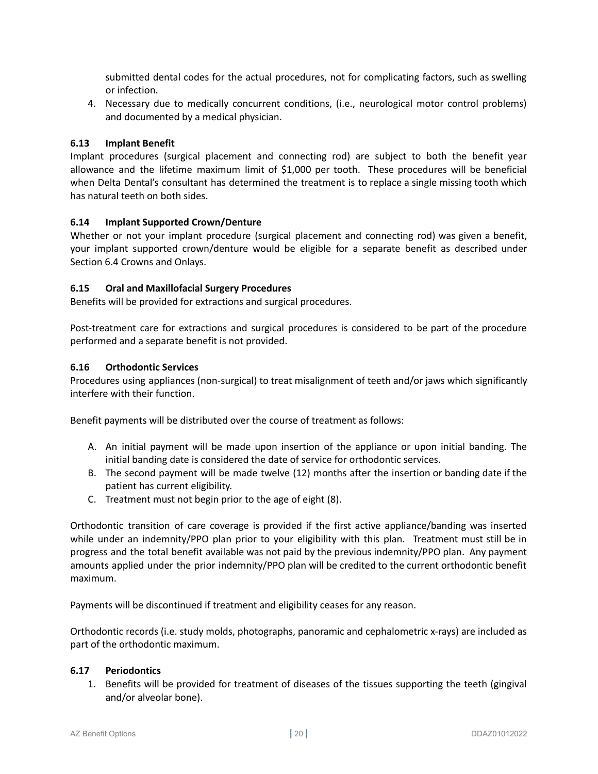submitted dental codes for the actual procedures, not for complicating factors, such as swelling or infection.

4. Necessary due to medically concurrent conditions, (i.e., neurological motor control problems) and documented by a medical physician.

#### **6.13 Implant Benefit**

Implant procedures (surgical placement and connecting rod) are subject to both the benefit year allowance and the lifetime maximum limit of \$1,000 per tooth. These procedures will be beneficial when Delta Dental's consultant has determined the treatment is to replace a single missing tooth which has natural teeth on both sides.

#### **6.14 Implant Supported Crown/Denture**

Whether or not your implant procedure (surgical placement and connecting rod) was given a benefit, your implant supported crown/denture would be eligible for a separate benefit as described under Section 6.4 Crowns and Onlays.

#### **6.15 Oral and Maxillofacial Surgery Procedures**

Benefits will be provided for extractions and surgical procedures.

Post-treatment care for extractions and surgical procedures is considered to be part of the procedure performed and a separate benefit is not provided.

#### **6.16 Orthodontic Services**

Procedures using appliances (non-surgical) to treat misalignment of teeth and/or jaws which significantly interfere with their function.

Benefit payments will be distributed over the course of treatment as follows:

- A. An initial payment will be made upon insertion of the appliance or upon initial banding. The initial banding date is considered the date of service for orthodontic services.
- B. The second payment will be made twelve (12) months after the insertion or banding date if the patient has current eligibility.
- C. Treatment must not begin prior to the age of eight (8).

Orthodontic transition of care coverage is provided if the first active appliance/banding was inserted while under an indemnity/PPO plan prior to your eligibility with this plan. Treatment must still be in progress and the total benefit available was not paid by the previous indemnity/PPO plan. Any payment amounts applied under the prior indemnity/PPO plan will be credited to the current orthodontic benefit maximum.

Payments will be discontinued if treatment and eligibility ceases for any reason.

Orthodontic records (i.e. study molds, photographs, panoramic and cephalometric x-rays) are included as part of the orthodontic maximum.

#### **6.17 Periodontics**

1. Benefits will be provided for treatment of diseases of the tissues supporting the teeth (gingival and/or alveolar bone).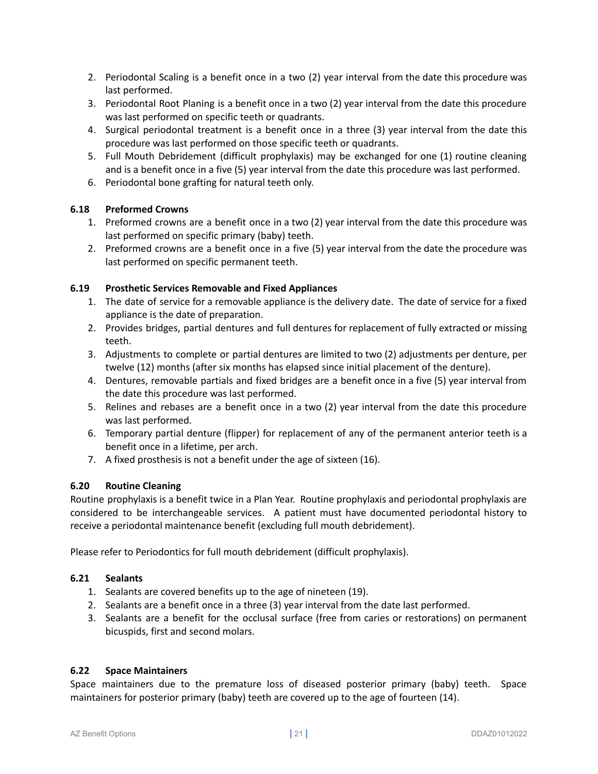- 2. Periodontal Scaling is a benefit once in a two (2) year interval from the date this procedure was last performed.
- 3. Periodontal Root Planing is a benefit once in a two (2) year interval from the date this procedure was last performed on specific teeth or quadrants.
- 4. Surgical periodontal treatment is a benefit once in a three (3) year interval from the date this procedure was last performed on those specific teeth or quadrants.
- 5. Full Mouth Debridement (difficult prophylaxis) may be exchanged for one (1) routine cleaning and is a benefit once in a five (5) year interval from the date this procedure was last performed.
- 6. Periodontal bone grafting for natural teeth only.

#### **6.18 Preformed Crowns**

- 1. Preformed crowns are a benefit once in a two (2) year interval from the date this procedure was last performed on specific primary (baby) teeth.
- 2. Preformed crowns are a benefit once in a five (5) year interval from the date the procedure was last performed on specific permanent teeth.

#### **6.19 Prosthetic Services Removable and Fixed Appliances**

- 1. The date of service for a removable appliance is the delivery date. The date of service for a fixed appliance is the date of preparation.
- 2. Provides bridges, partial dentures and full dentures for replacement of fully extracted or missing teeth.
- 3. Adjustments to complete or partial dentures are limited to two (2) adjustments per denture, per twelve (12) months (after six months has elapsed since initial placement of the denture).
- 4. Dentures, removable partials and fixed bridges are a benefit once in a five (5) year interval from the date this procedure was last performed.
- 5. Relines and rebases are a benefit once in a two (2) year interval from the date this procedure was last performed.
- 6. Temporary partial denture (flipper) for replacement of any of the permanent anterior teeth is a benefit once in a lifetime, per arch.
- 7. A fixed prosthesis is not a benefit under the age of sixteen (16).

#### **6.20 Routine Cleaning**

Routine prophylaxis is a benefit twice in a Plan Year. Routine prophylaxis and periodontal prophylaxis are considered to be interchangeable services. A patient must have documented periodontal history to receive a periodontal maintenance benefit (excluding full mouth debridement).

Please refer to Periodontics for full mouth debridement (difficult prophylaxis).

#### **6.21 Sealants**

- 1. Sealants are covered benefits up to the age of nineteen (19).
- 2. Sealants are a benefit once in a three (3) year interval from the date last performed.
- 3. Sealants are a benefit for the occlusal surface (free from caries or restorations) on permanent bicuspids, first and second molars.

#### **6.22 Space Maintainers**

Space maintainers due to the premature loss of diseased posterior primary (baby) teeth. Space maintainers for posterior primary (baby) teeth are covered up to the age of fourteen (14).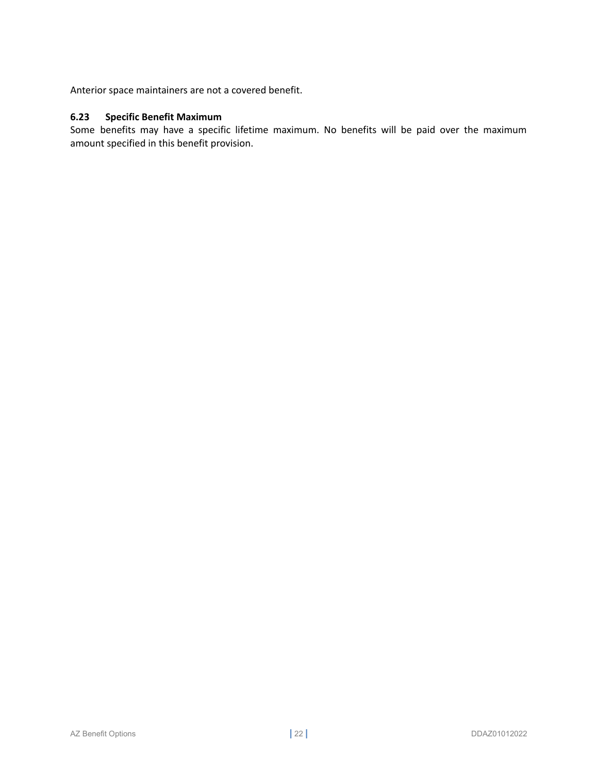Anterior space maintainers are not a covered benefit.

#### **6.23 Specific Benefit Maximum**

Some benefits may have a specific lifetime maximum. No benefits will be paid over the maximum amount specified in this benefit provision.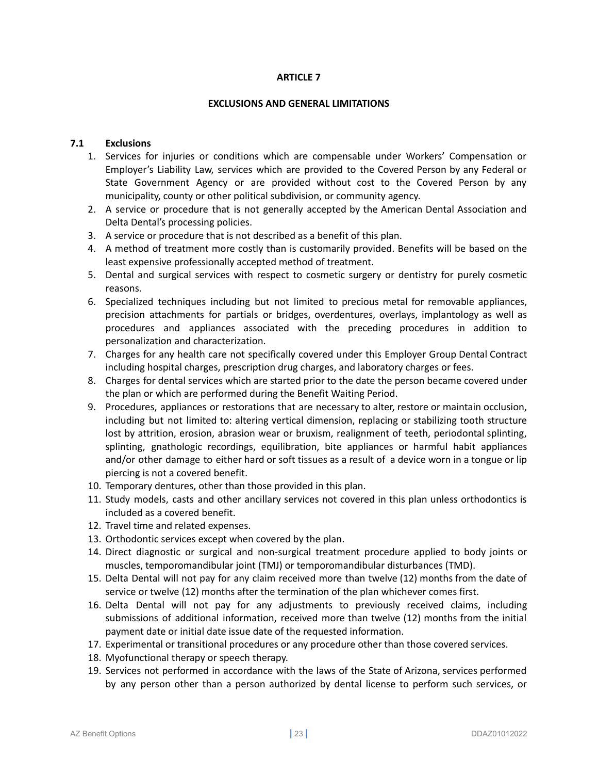#### **EXCLUSIONS AND GENERAL LIMITATIONS**

#### <span id="page-24-0"></span>**7.1 Exclusions**

- 1. Services for injuries or conditions which are compensable under Workers' Compensation or Employer's Liability Law, services which are provided to the Covered Person by any Federal or State Government Agency or are provided without cost to the Covered Person by any municipality, county or other political subdivision, or community agency.
- 2. A service or procedure that is not generally accepted by the American Dental Association and Delta Dental's processing policies.
- 3. A service or procedure that is not described as a benefit of this plan.
- 4. A method of treatment more costly than is customarily provided. Benefits will be based on the least expensive professionally accepted method of treatment.
- 5. Dental and surgical services with respect to cosmetic surgery or dentistry for purely cosmetic reasons.
- 6. Specialized techniques including but not limited to precious metal for removable appliances, precision attachments for partials or bridges, overdentures, overlays, implantology as well as procedures and appliances associated with the preceding procedures in addition to personalization and characterization.
- 7. Charges for any health care not specifically covered under this Employer Group Dental Contract including hospital charges, prescription drug charges, and laboratory charges or fees.
- 8. Charges for dental services which are started prior to the date the person became covered under the plan or which are performed during the Benefit Waiting Period.
- 9. Procedures, appliances or restorations that are necessary to alter, restore or maintain occlusion, including but not limited to: altering vertical dimension, replacing or stabilizing tooth structure lost by attrition, erosion, abrasion wear or bruxism, realignment of teeth, periodontal splinting, splinting, gnathologic recordings, equilibration, bite appliances or harmful habit appliances and/or other damage to either hard or soft tissues as a result of a device worn in a tongue or lip piercing is not a covered benefit.
- 10. Temporary dentures, other than those provided in this plan.
- 11. Study models, casts and other ancillary services not covered in this plan unless orthodontics is included as a covered benefit.
- 12. Travel time and related expenses.
- 13. Orthodontic services except when covered by the plan.
- 14. Direct diagnostic or surgical and non-surgical treatment procedure applied to body joints or muscles, temporomandibular joint (TMJ) or temporomandibular disturbances (TMD).
- 15. Delta Dental will not pay for any claim received more than twelve (12) months from the date of service or twelve (12) months after the termination of the plan whichever comes first.
- 16. Delta Dental will not pay for any adjustments to previously received claims, including submissions of additional information, received more than twelve (12) months from the initial payment date or initial date issue date of the requested information.
- 17. Experimental or transitional procedures or any procedure other than those covered services.
- 18. Myofunctional therapy or speech therapy.
- 19. Services not performed in accordance with the laws of the State of Arizona, services performed by any person other than a person authorized by dental license to perform such services, or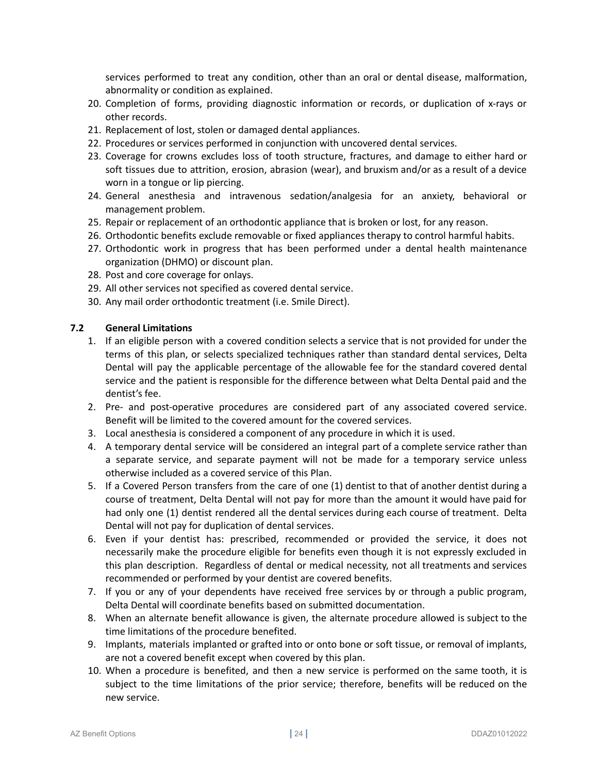services performed to treat any condition, other than an oral or dental disease, malformation, abnormality or condition as explained.

- 20. Completion of forms, providing diagnostic information or records, or duplication of x-rays or other records.
- 21. Replacement of lost, stolen or damaged dental appliances.
- 22. Procedures or services performed in conjunction with uncovered dental services.
- 23. Coverage for crowns excludes loss of tooth structure, fractures, and damage to either hard or soft tissues due to attrition, erosion, abrasion (wear), and bruxism and/or as a result of a device worn in a tongue or lip piercing.
- 24. General anesthesia and intravenous sedation/analgesia for an anxiety, behavioral or management problem.
- 25. Repair or replacement of an orthodontic appliance that is broken or lost, for any reason.
- 26. Orthodontic benefits exclude removable or fixed appliances therapy to control harmful habits.
- 27. Orthodontic work in progress that has been performed under a dental health maintenance organization (DHMO) or discount plan.
- 28. Post and core coverage for onlays.
- 29. All other services not specified as covered dental service.
- 30. Any mail order orthodontic treatment (i.e. Smile Direct).

#### **7.2 General Limitations**

- 1. If an eligible person with a covered condition selects a service that is not provided for under the terms of this plan, or selects specialized techniques rather than standard dental services, Delta Dental will pay the applicable percentage of the allowable fee for the standard covered dental service and the patient is responsible for the difference between what Delta Dental paid and the dentist's fee.
- 2. Pre- and post-operative procedures are considered part of any associated covered service. Benefit will be limited to the covered amount for the covered services.
- 3. Local anesthesia is considered a component of any procedure in which it is used.
- 4. A temporary dental service will be considered an integral part of a complete service rather than a separate service, and separate payment will not be made for a temporary service unless otherwise included as a covered service of this Plan.
- 5. If a Covered Person transfers from the care of one (1) dentist to that of another dentist during a course of treatment, Delta Dental will not pay for more than the amount it would have paid for had only one (1) dentist rendered all the dental services during each course of treatment. Delta Dental will not pay for duplication of dental services.
- 6. Even if your dentist has: prescribed, recommended or provided the service, it does not necessarily make the procedure eligible for benefits even though it is not expressly excluded in this plan description. Regardless of dental or medical necessity, not all treatments and services recommended or performed by your dentist are covered benefits.
- 7. If you or any of your dependents have received free services by or through a public program, Delta Dental will coordinate benefits based on submitted documentation.
- 8. When an alternate benefit allowance is given, the alternate procedure allowed is subject to the time limitations of the procedure benefited.
- 9. Implants, materials implanted or grafted into or onto bone or soft tissue, or removal of implants, are not a covered benefit except when covered by this plan.
- 10. When a procedure is benefited, and then a new service is performed on the same tooth, it is subject to the time limitations of the prior service; therefore, benefits will be reduced on the new service.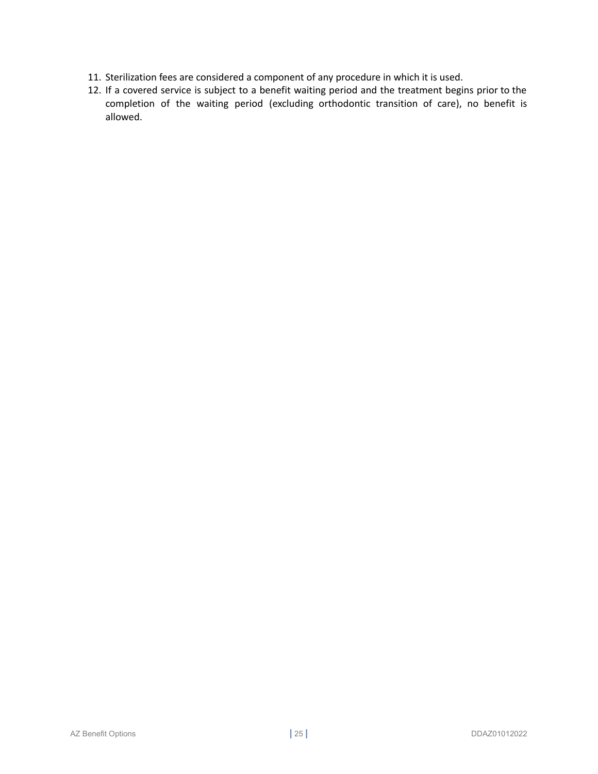- 11. Sterilization fees are considered a component of any procedure in which it is used.
- 12. If a covered service is subject to a benefit waiting period and the treatment begins prior to the completion of the waiting period (excluding orthodontic transition of care), no benefit is allowed.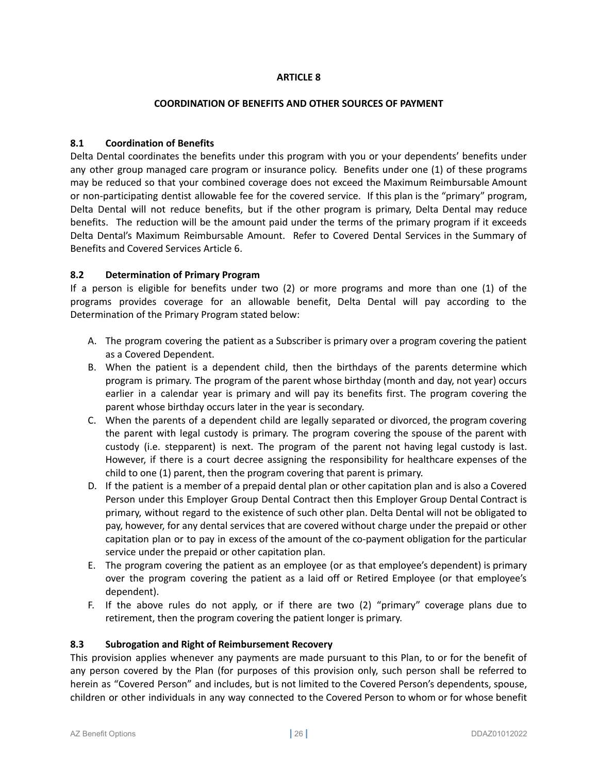#### **COORDINATION OF BENEFITS AND OTHER SOURCES OF PAYMENT**

#### <span id="page-27-0"></span>**8.1 Coordination of Benefits**

Delta Dental coordinates the benefits under this program with you or your dependents' benefits under any other group managed care program or insurance policy. Benefits under one (1) of these programs may be reduced so that your combined coverage does not exceed the Maximum Reimbursable Amount or non-participating dentist allowable fee for the covered service. If this plan is the "primary" program, Delta Dental will not reduce benefits, but if the other program is primary, Delta Dental may reduce benefits. The reduction will be the amount paid under the terms of the primary program if it exceeds Delta Dental's Maximum Reimbursable Amount. Refer to Covered Dental Services in the Summary of Benefits and Covered Services Article 6.

#### **8.2 Determination of Primary Program**

If a person is eligible for benefits under two (2) or more programs and more than one (1) of the programs provides coverage for an allowable benefit, Delta Dental will pay according to the Determination of the Primary Program stated below:

- A. The program covering the patient as a Subscriber is primary over a program covering the patient as a Covered Dependent.
- B. When the patient is a dependent child, then the birthdays of the parents determine which program is primary. The program of the parent whose birthday (month and day, not year) occurs earlier in a calendar year is primary and will pay its benefits first. The program covering the parent whose birthday occurs later in the year is secondary.
- C. When the parents of a dependent child are legally separated or divorced, the program covering the parent with legal custody is primary. The program covering the spouse of the parent with custody (i.e. stepparent) is next. The program of the parent not having legal custody is last. However, if there is a court decree assigning the responsibility for healthcare expenses of the child to one (1) parent, then the program covering that parent is primary.
- D. If the patient is a member of a prepaid dental plan or other capitation plan and is also a Covered Person under this Employer Group Dental Contract then this Employer Group Dental Contract is primary, without regard to the existence of such other plan. Delta Dental will not be obligated to pay, however, for any dental services that are covered without charge under the prepaid or other capitation plan or to pay in excess of the amount of the co-payment obligation for the particular service under the prepaid or other capitation plan.
- E. The program covering the patient as an employee (or as that employee's dependent) is primary over the program covering the patient as a laid off or Retired Employee (or that employee's dependent).
- F. If the above rules do not apply, or if there are two (2) "primary" coverage plans due to retirement, then the program covering the patient longer is primary.

#### **8.3 Subrogation and Right of Reimbursement Recovery**

This provision applies whenever any payments are made pursuant to this Plan, to or for the benefit of any person covered by the Plan (for purposes of this provision only, such person shall be referred to herein as "Covered Person" and includes, but is not limited to the Covered Person's dependents, spouse, children or other individuals in any way connected to the Covered Person to whom or for whose benefit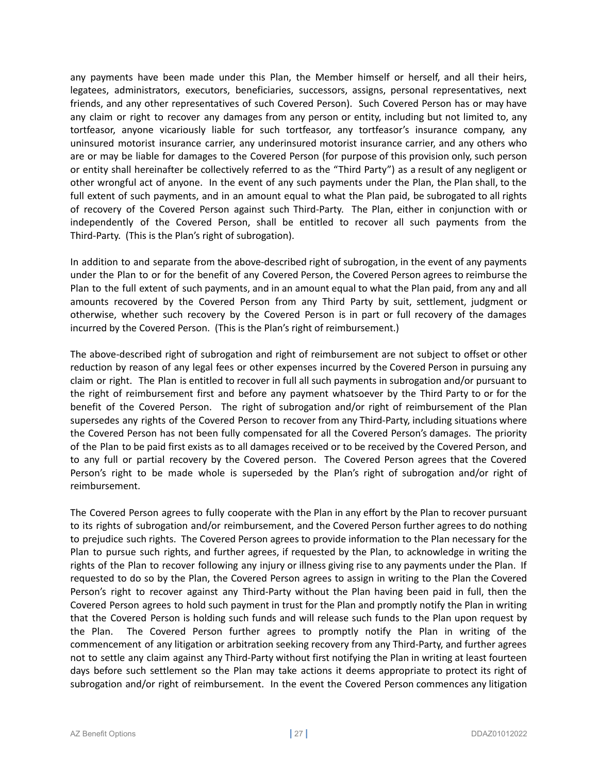any payments have been made under this Plan, the Member himself or herself, and all their heirs, legatees, administrators, executors, beneficiaries, successors, assigns, personal representatives, next friends, and any other representatives of such Covered Person). Such Covered Person has or may have any claim or right to recover any damages from any person or entity, including but not limited to, any tortfeasor, anyone vicariously liable for such tortfeasor, any tortfeasor's insurance company, any uninsured motorist insurance carrier, any underinsured motorist insurance carrier, and any others who are or may be liable for damages to the Covered Person (for purpose of this provision only, such person or entity shall hereinafter be collectively referred to as the "Third Party") as a result of any negligent or other wrongful act of anyone. In the event of any such payments under the Plan, the Plan shall, to the full extent of such payments, and in an amount equal to what the Plan paid, be subrogated to all rights of recovery of the Covered Person against such Third-Party. The Plan, either in conjunction with or independently of the Covered Person, shall be entitled to recover all such payments from the Third-Party. (This is the Plan's right of subrogation).

In addition to and separate from the above-described right of subrogation, in the event of any payments under the Plan to or for the benefit of any Covered Person, the Covered Person agrees to reimburse the Plan to the full extent of such payments, and in an amount equal to what the Plan paid, from any and all amounts recovered by the Covered Person from any Third Party by suit, settlement, judgment or otherwise, whether such recovery by the Covered Person is in part or full recovery of the damages incurred by the Covered Person. (This is the Plan's right of reimbursement.)

The above-described right of subrogation and right of reimbursement are not subject to offset or other reduction by reason of any legal fees or other expenses incurred by the Covered Person in pursuing any claim or right. The Plan is entitled to recover in full all such payments in subrogation and/or pursuant to the right of reimbursement first and before any payment whatsoever by the Third Party to or for the benefit of the Covered Person. The right of subrogation and/or right of reimbursement of the Plan supersedes any rights of the Covered Person to recover from any Third-Party, including situations where the Covered Person has not been fully compensated for all the Covered Person's damages. The priority of the Plan to be paid first exists as to all damages received or to be received by the Covered Person, and to any full or partial recovery by the Covered person. The Covered Person agrees that the Covered Person's right to be made whole is superseded by the Plan's right of subrogation and/or right of reimbursement.

The Covered Person agrees to fully cooperate with the Plan in any effort by the Plan to recover pursuant to its rights of subrogation and/or reimbursement, and the Covered Person further agrees to do nothing to prejudice such rights. The Covered Person agrees to provide information to the Plan necessary for the Plan to pursue such rights, and further agrees, if requested by the Plan, to acknowledge in writing the rights of the Plan to recover following any injury or illness giving rise to any payments under the Plan. If requested to do so by the Plan, the Covered Person agrees to assign in writing to the Plan the Covered Person's right to recover against any Third-Party without the Plan having been paid in full, then the Covered Person agrees to hold such payment in trust for the Plan and promptly notify the Plan in writing that the Covered Person is holding such funds and will release such funds to the Plan upon request by the Plan. The Covered Person further agrees to promptly notify the Plan in writing of the commencement of any litigation or arbitration seeking recovery from any Third-Party, and further agrees not to settle any claim against any Third-Party without first notifying the Plan in writing at least fourteen days before such settlement so the Plan may take actions it deems appropriate to protect its right of subrogation and/or right of reimbursement. In the event the Covered Person commences any litigation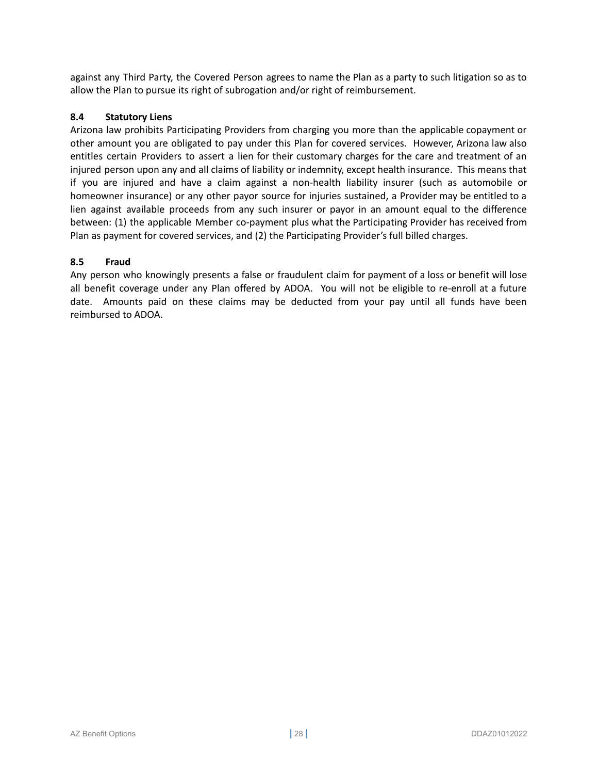against any Third Party, the Covered Person agrees to name the Plan as a party to such litigation so as to allow the Plan to pursue its right of subrogation and/or right of reimbursement.

#### **8.4 Statutory Liens**

Arizona law prohibits Participating Providers from charging you more than the applicable copayment or other amount you are obligated to pay under this Plan for covered services. However, Arizona law also entitles certain Providers to assert a lien for their customary charges for the care and treatment of an injured person upon any and all claims of liability or indemnity, except health insurance. This means that if you are injured and have a claim against a non-health liability insurer (such as automobile or homeowner insurance) or any other payor source for injuries sustained, a Provider may be entitled to a lien against available proceeds from any such insurer or payor in an amount equal to the difference between: (1) the applicable Member co-payment plus what the Participating Provider has received from Plan as payment for covered services, and (2) the Participating Provider's full billed charges.

#### **8.5 Fraud**

Any person who knowingly presents a false or fraudulent claim for payment of a loss or benefit will lose all benefit coverage under any Plan offered by ADOA. You will not be eligible to re-enroll at a future date. Amounts paid on these claims may be deducted from your pay until all funds have been reimbursed to ADOA.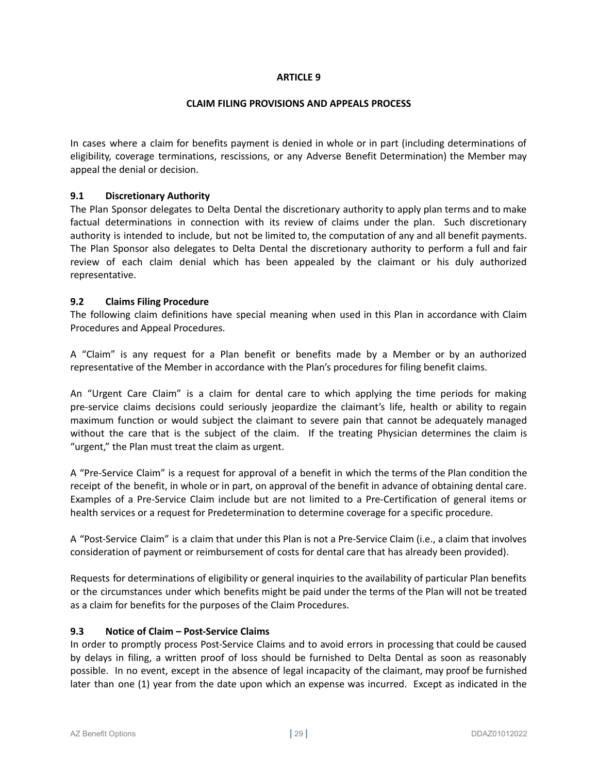#### **CLAIM FILING PROVISIONS AND APPEALS PROCESS**

<span id="page-30-0"></span>In cases where a claim for benefits payment is denied in whole or in part (including determinations of eligibility, coverage terminations, rescissions, or any Adverse Benefit Determination) the Member may appeal the denial or decision.

#### **9.1 Discretionary Authority**

The Plan Sponsor delegates to Delta Dental the discretionary authority to apply plan terms and to make factual determinations in connection with its review of claims under the plan. Such discretionary authority is intended to include, but not be limited to, the computation of any and all benefit payments. The Plan Sponsor also delegates to Delta Dental the discretionary authority to perform a full and fair review of each claim denial which has been appealed by the claimant or his duly authorized representative.

#### **9.2 Claims Filing Procedure**

The following claim definitions have special meaning when used in this Plan in accordance with Claim Procedures and Appeal Procedures.

A "Claim" is any request for a Plan benefit or benefits made by a Member or by an authorized representative of the Member in accordance with the Plan's procedures for filing benefit claims.

An "Urgent Care Claim" is a claim for dental care to which applying the time periods for making pre-service claims decisions could seriously jeopardize the claimant's life, health or ability to regain maximum function or would subject the claimant to severe pain that cannot be adequately managed without the care that is the subject of the claim. If the treating Physician determines the claim is "urgent," the Plan must treat the claim as urgent.

A "Pre-Service Claim" is a request for approval of a benefit in which the terms of the Plan condition the receipt of the benefit, in whole or in part, on approval of the benefit in advance of obtaining dental care. Examples of a Pre-Service Claim include but are not limited to a Pre-Certification of general items or health services or a request for Predetermination to determine coverage for a specific procedure.

A "Post-Service Claim" is a claim that under this Plan is not a Pre-Service Claim (i.e., a claim that involves consideration of payment or reimbursement of costs for dental care that has already been provided).

Requests for determinations of eligibility or general inquiries to the availability of particular Plan benefits or the circumstances under which benefits might be paid under the terms of the Plan will not be treated as a claim for benefits for the purposes of the Claim Procedures.

#### **9.3 Notice of Claim – Post-Service Claims**

In order to promptly process Post-Service Claims and to avoid errors in processing that could be caused by delays in filing, a written proof of loss should be furnished to Delta Dental as soon as reasonably possible. In no event, except in the absence of legal incapacity of the claimant, may proof be furnished later than one (1) year from the date upon which an expense was incurred. Except as indicated in the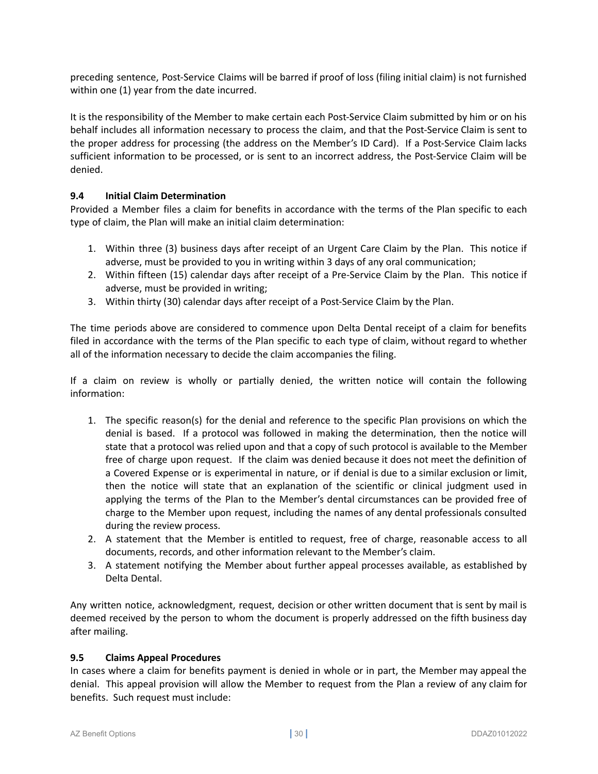preceding sentence, Post-Service Claims will be barred if proof of loss (filing initial claim) is not furnished within one (1) year from the date incurred.

It is the responsibility of the Member to make certain each Post-Service Claim submitted by him or on his behalf includes all information necessary to process the claim, and that the Post-Service Claim is sent to the proper address for processing (the address on the Member's ID Card). If a Post-Service Claim lacks sufficient information to be processed, or is sent to an incorrect address, the Post-Service Claim will be denied.

#### **9.4 Initial Claim Determination**

Provided a Member files a claim for benefits in accordance with the terms of the Plan specific to each type of claim, the Plan will make an initial claim determination:

- 1. Within three (3) business days after receipt of an Urgent Care Claim by the Plan. This notice if adverse, must be provided to you in writing within 3 days of any oral communication;
- 2. Within fifteen (15) calendar days after receipt of a Pre-Service Claim by the Plan. This notice if adverse, must be provided in writing;
- 3. Within thirty (30) calendar days after receipt of a Post-Service Claim by the Plan.

The time periods above are considered to commence upon Delta Dental receipt of a claim for benefits filed in accordance with the terms of the Plan specific to each type of claim, without regard to whether all of the information necessary to decide the claim accompanies the filing.

If a claim on review is wholly or partially denied, the written notice will contain the following information:

- 1. The specific reason(s) for the denial and reference to the specific Plan provisions on which the denial is based. If a protocol was followed in making the determination, then the notice will state that a protocol was relied upon and that a copy of such protocol is available to the Member free of charge upon request. If the claim was denied because it does not meet the definition of a Covered Expense or is experimental in nature, or if denial is due to a similar exclusion or limit, then the notice will state that an explanation of the scientific or clinical judgment used in applying the terms of the Plan to the Member's dental circumstances can be provided free of charge to the Member upon request, including the names of any dental professionals consulted during the review process.
- 2. A statement that the Member is entitled to request, free of charge, reasonable access to all documents, records, and other information relevant to the Member's claim.
- 3. A statement notifying the Member about further appeal processes available, as established by Delta Dental.

Any written notice, acknowledgment, request, decision or other written document that is sent by mail is deemed received by the person to whom the document is properly addressed on the fifth business day after mailing.

#### **9.5 Claims Appeal Procedures**

In cases where a claim for benefits payment is denied in whole or in part, the Member may appeal the denial. This appeal provision will allow the Member to request from the Plan a review of any claim for benefits. Such request must include: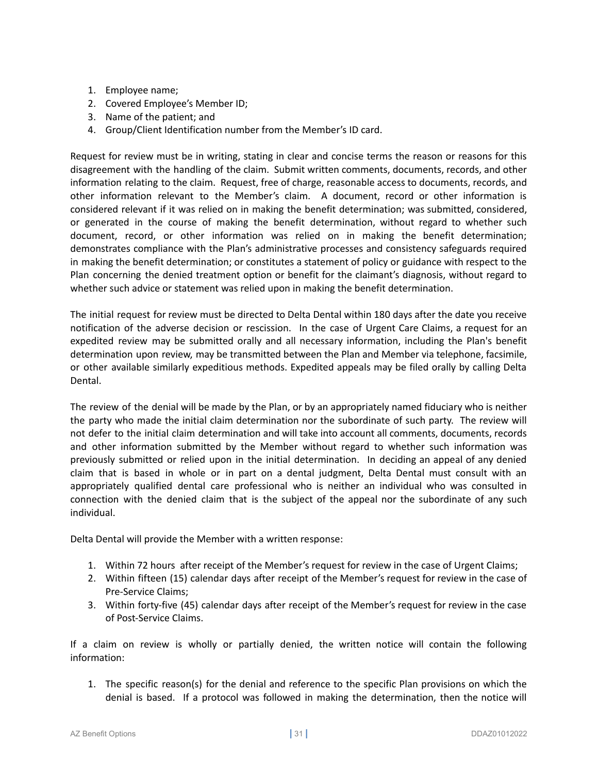- 1. Employee name;
- 2. Covered Employee's Member ID;
- 3. Name of the patient; and
- 4. Group/Client Identification number from the Member's ID card.

Request for review must be in writing, stating in clear and concise terms the reason or reasons for this disagreement with the handling of the claim. Submit written comments, documents, records, and other information relating to the claim. Request, free of charge, reasonable access to documents, records, and other information relevant to the Member's claim. A document, record or other information is considered relevant if it was relied on in making the benefit determination; was submitted, considered, or generated in the course of making the benefit determination, without regard to whether such document, record, or other information was relied on in making the benefit determination; demonstrates compliance with the Plan's administrative processes and consistency safeguards required in making the benefit determination; or constitutes a statement of policy or guidance with respect to the Plan concerning the denied treatment option or benefit for the claimant's diagnosis, without regard to whether such advice or statement was relied upon in making the benefit determination.

The initial request for review must be directed to Delta Dental within 180 days after the date you receive notification of the adverse decision or rescission. In the case of Urgent Care Claims, a request for an expedited review may be submitted orally and all necessary information, including the Plan's benefit determination upon review, may be transmitted between the Plan and Member via telephone, facsimile, or other available similarly expeditious methods. Expedited appeals may be filed orally by calling Delta Dental.

The review of the denial will be made by the Plan, or by an appropriately named fiduciary who is neither the party who made the initial claim determination nor the subordinate of such party. The review will not defer to the initial claim determination and will take into account all comments, documents, records and other information submitted by the Member without regard to whether such information was previously submitted or relied upon in the initial determination. In deciding an appeal of any denied claim that is based in whole or in part on a dental judgment, Delta Dental must consult with an appropriately qualified dental care professional who is neither an individual who was consulted in connection with the denied claim that is the subject of the appeal nor the subordinate of any such individual.

Delta Dental will provide the Member with a written response:

- 1. Within 72 hours after receipt of the Member's request for review in the case of Urgent Claims;
- 2. Within fifteen (15) calendar days after receipt of the Member's request for review in the case of Pre-Service Claims;
- 3. Within forty-five (45) calendar days after receipt of the Member's request for review in the case of Post-Service Claims.

If a claim on review is wholly or partially denied, the written notice will contain the following information:

1. The specific reason(s) for the denial and reference to the specific Plan provisions on which the denial is based. If a protocol was followed in making the determination, then the notice will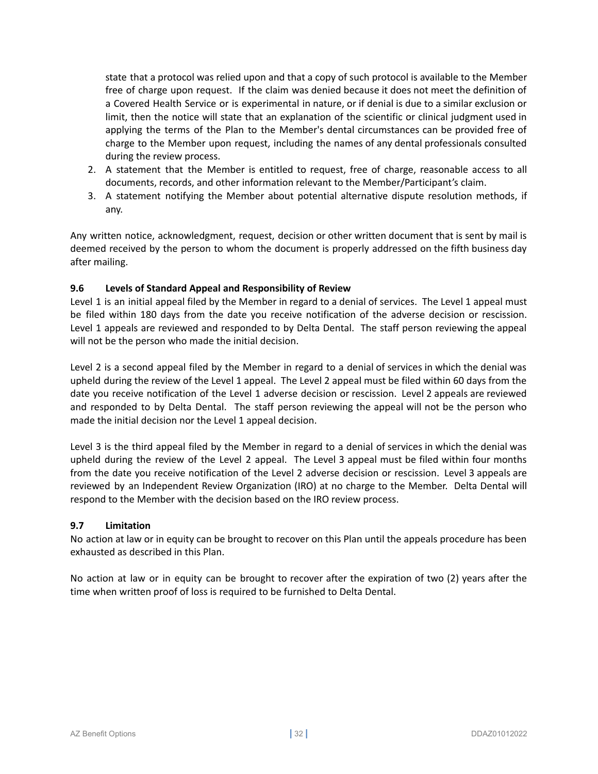state that a protocol was relied upon and that a copy of such protocol is available to the Member free of charge upon request. If the claim was denied because it does not meet the definition of a Covered Health Service or is experimental in nature, or if denial is due to a similar exclusion or limit, then the notice will state that an explanation of the scientific or clinical judgment used in applying the terms of the Plan to the Member's dental circumstances can be provided free of charge to the Member upon request, including the names of any dental professionals consulted during the review process.

- 2. A statement that the Member is entitled to request, free of charge, reasonable access to all documents, records, and other information relevant to the Member/Participant's claim.
- 3. A statement notifying the Member about potential alternative dispute resolution methods, if any.

Any written notice, acknowledgment, request, decision or other written document that is sent by mail is deemed received by the person to whom the document is properly addressed on the fifth business day after mailing.

#### **9.6 Levels of Standard Appeal and Responsibility of Review**

Level 1 is an initial appeal filed by the Member in regard to a denial of services. The Level 1 appeal must be filed within 180 days from the date you receive notification of the adverse decision or rescission. Level 1 appeals are reviewed and responded to by Delta Dental. The staff person reviewing the appeal will not be the person who made the initial decision.

Level 2 is a second appeal filed by the Member in regard to a denial of services in which the denial was upheld during the review of the Level 1 appeal. The Level 2 appeal must be filed within 60 days from the date you receive notification of the Level 1 adverse decision or rescission. Level 2 appeals are reviewed and responded to by Delta Dental. The staff person reviewing the appeal will not be the person who made the initial decision nor the Level 1 appeal decision.

Level 3 is the third appeal filed by the Member in regard to a denial of services in which the denial was upheld during the review of the Level 2 appeal. The Level 3 appeal must be filed within four months from the date you receive notification of the Level 2 adverse decision or rescission. Level 3 appeals are reviewed by an Independent Review Organization (IRO) at no charge to the Member. Delta Dental will respond to the Member with the decision based on the IRO review process.

#### **9.7 Limitation**

No action at law or in equity can be brought to recover on this Plan until the appeals procedure has been exhausted as described in this Plan.

No action at law or in equity can be brought to recover after the expiration of two (2) years after the time when written proof of loss is required to be furnished to Delta Dental.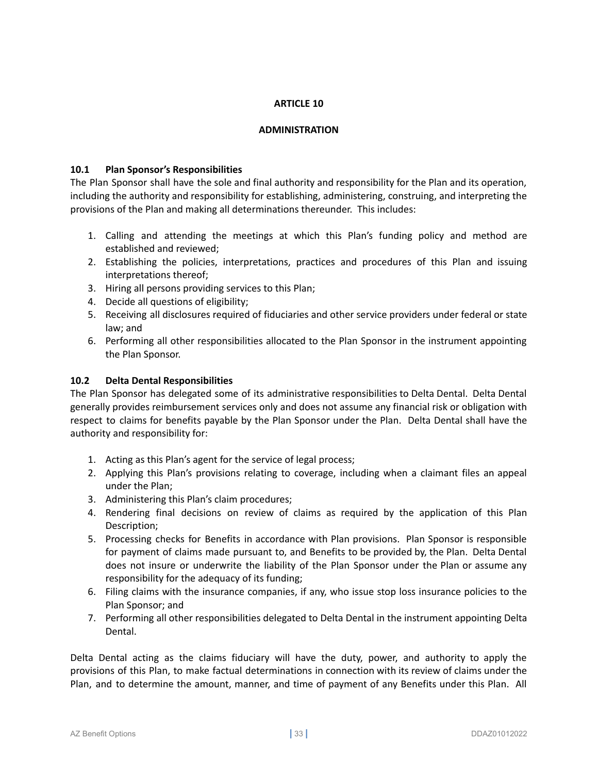#### **ADMINISTRATION**

#### <span id="page-34-0"></span>**10.1 Plan Sponsor's Responsibilities**

The Plan Sponsor shall have the sole and final authority and responsibility for the Plan and its operation, including the authority and responsibility for establishing, administering, construing, and interpreting the provisions of the Plan and making all determinations thereunder. This includes:

- 1. Calling and attending the meetings at which this Plan's funding policy and method are established and reviewed;
- 2. Establishing the policies, interpretations, practices and procedures of this Plan and issuing interpretations thereof;
- 3. Hiring all persons providing services to this Plan;
- 4. Decide all questions of eligibility;
- 5. Receiving all disclosures required of fiduciaries and other service providers under federal or state law; and
- 6. Performing all other responsibilities allocated to the Plan Sponsor in the instrument appointing the Plan Sponsor.

#### **10.2 Delta Dental Responsibilities**

The Plan Sponsor has delegated some of its administrative responsibilities to Delta Dental. Delta Dental generally provides reimbursement services only and does not assume any financial risk or obligation with respect to claims for benefits payable by the Plan Sponsor under the Plan. Delta Dental shall have the authority and responsibility for:

- 1. Acting as this Plan's agent for the service of legal process;
- 2. Applying this Plan's provisions relating to coverage, including when a claimant files an appeal under the Plan;
- 3. Administering this Plan's claim procedures;
- 4. Rendering final decisions on review of claims as required by the application of this Plan Description;
- 5. Processing checks for Benefits in accordance with Plan provisions. Plan Sponsor is responsible for payment of claims made pursuant to, and Benefits to be provided by, the Plan. Delta Dental does not insure or underwrite the liability of the Plan Sponsor under the Plan or assume any responsibility for the adequacy of its funding;
- 6. Filing claims with the insurance companies, if any, who issue stop loss insurance policies to the Plan Sponsor; and
- 7. Performing all other responsibilities delegated to Delta Dental in the instrument appointing Delta Dental.

Delta Dental acting as the claims fiduciary will have the duty, power, and authority to apply the provisions of this Plan, to make factual determinations in connection with its review of claims under the Plan, and to determine the amount, manner, and time of payment of any Benefits under this Plan. All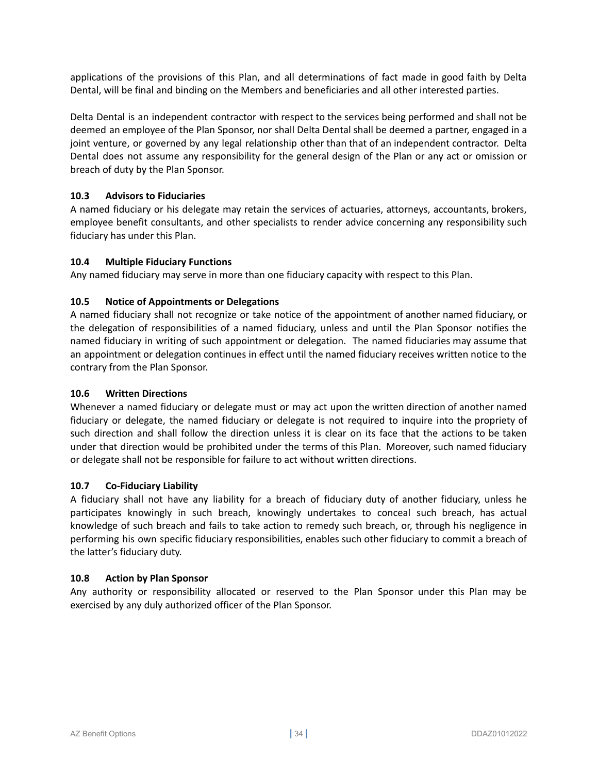applications of the provisions of this Plan, and all determinations of fact made in good faith by Delta Dental, will be final and binding on the Members and beneficiaries and all other interested parties.

Delta Dental is an independent contractor with respect to the services being performed and shall not be deemed an employee of the Plan Sponsor, nor shall Delta Dental shall be deemed a partner, engaged in a joint venture, or governed by any legal relationship other than that of an independent contractor. Delta Dental does not assume any responsibility for the general design of the Plan or any act or omission or breach of duty by the Plan Sponsor.

#### **10.3 Advisors to Fiduciaries**

A named fiduciary or his delegate may retain the services of actuaries, attorneys, accountants, brokers, employee benefit consultants, and other specialists to render advice concerning any responsibility such fiduciary has under this Plan.

#### **10.4 Multiple Fiduciary Functions**

Any named fiduciary may serve in more than one fiduciary capacity with respect to this Plan.

#### **10.5 Notice of Appointments or Delegations**

A named fiduciary shall not recognize or take notice of the appointment of another named fiduciary, or the delegation of responsibilities of a named fiduciary, unless and until the Plan Sponsor notifies the named fiduciary in writing of such appointment or delegation. The named fiduciaries may assume that an appointment or delegation continues in effect until the named fiduciary receives written notice to the contrary from the Plan Sponsor.

#### **10.6 Written Directions**

Whenever a named fiduciary or delegate must or may act upon the written direction of another named fiduciary or delegate, the named fiduciary or delegate is not required to inquire into the propriety of such direction and shall follow the direction unless it is clear on its face that the actions to be taken under that direction would be prohibited under the terms of this Plan. Moreover, such named fiduciary or delegate shall not be responsible for failure to act without written directions.

#### **10.7 Co-Fiduciary Liability**

A fiduciary shall not have any liability for a breach of fiduciary duty of another fiduciary, unless he participates knowingly in such breach, knowingly undertakes to conceal such breach, has actual knowledge of such breach and fails to take action to remedy such breach, or, through his negligence in performing his own specific fiduciary responsibilities, enables such other fiduciary to commit a breach of the latter's fiduciary duty.

#### **10.8 Action by Plan Sponsor**

Any authority or responsibility allocated or reserved to the Plan Sponsor under this Plan may be exercised by any duly authorized officer of the Plan Sponsor.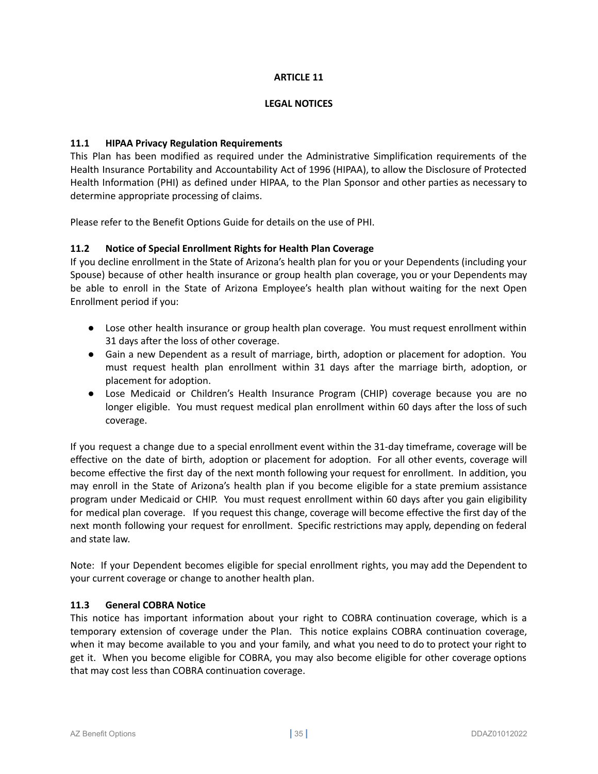#### **LEGAL NOTICES**

#### <span id="page-36-0"></span>**11.1 HIPAA Privacy Regulation Requirements**

This Plan has been modified as required under the Administrative Simplification requirements of the Health Insurance Portability and Accountability Act of 1996 (HIPAA), to allow the Disclosure of Protected Health Information (PHI) as defined under HIPAA, to the Plan Sponsor and other parties as necessary to determine appropriate processing of claims.

Please refer to the Benefit Options Guide for details on the use of PHI.

#### **11.2 Notice of Special Enrollment Rights for Health Plan Coverage**

If you decline enrollment in the State of Arizona's health plan for you or your Dependents (including your Spouse) because of other health insurance or group health plan coverage, you or your Dependents may be able to enroll in the State of Arizona Employee's health plan without waiting for the next Open Enrollment period if you:

- Lose other health insurance or group health plan coverage. You must request enrollment within 31 days after the loss of other coverage.
- Gain a new Dependent as a result of marriage, birth, adoption or placement for adoption. You must request health plan enrollment within 31 days after the marriage birth, adoption, or placement for adoption.
- Lose Medicaid or Children's Health Insurance Program (CHIP) coverage because you are no longer eligible. You must request medical plan enrollment within 60 days after the loss of such coverage.

If you request a change due to a special enrollment event within the 31-day timeframe, coverage will be effective on the date of birth, adoption or placement for adoption. For all other events, coverage will become effective the first day of the next month following your request for enrollment. In addition, you may enroll in the State of Arizona's health plan if you become eligible for a state premium assistance program under Medicaid or CHIP. You must request enrollment within 60 days after you gain eligibility for medical plan coverage. If you request this change, coverage will become effective the first day of the next month following your request for enrollment. Specific restrictions may apply, depending on federal and state law.

Note: If your Dependent becomes eligible for special enrollment rights, you may add the Dependent to your current coverage or change to another health plan.

#### **11.3 General COBRA Notice**

This notice has important information about your right to COBRA continuation coverage, which is a temporary extension of coverage under the Plan. This notice explains COBRA continuation coverage, when it may become available to you and your family, and what you need to do to protect your right to get it. When you become eligible for COBRA, you may also become eligible for other coverage options that may cost less than COBRA continuation coverage.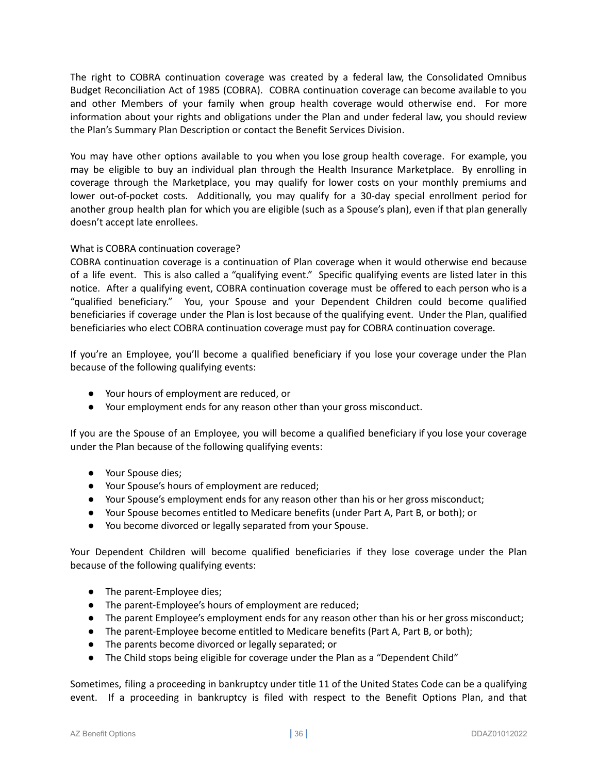The right to COBRA continuation coverage was created by a federal law, the Consolidated Omnibus Budget Reconciliation Act of 1985 (COBRA). COBRA continuation coverage can become available to you and other Members of your family when group health coverage would otherwise end. For more information about your rights and obligations under the Plan and under federal law, you should review the Plan's Summary Plan Description or contact the Benefit Services Division.

You may have other options available to you when you lose group health coverage. For example, you may be eligible to buy an individual plan through the Health Insurance Marketplace. By enrolling in coverage through the Marketplace, you may qualify for lower costs on your monthly premiums and lower out-of-pocket costs. Additionally, you may qualify for a 30-day special enrollment period for another group health plan for which you are eligible (such as a Spouse's plan), even if that plan generally doesn't accept late enrollees.

#### What is COBRA continuation coverage?

COBRA continuation coverage is a continuation of Plan coverage when it would otherwise end because of a life event. This is also called a "qualifying event." Specific qualifying events are listed later in this notice. After a qualifying event, COBRA continuation coverage must be offered to each person who is a "qualified beneficiary." You, your Spouse and your Dependent Children could become qualified beneficiaries if coverage under the Plan is lost because of the qualifying event. Under the Plan, qualified beneficiaries who elect COBRA continuation coverage must pay for COBRA continuation coverage.

If you're an Employee, you'll become a qualified beneficiary if you lose your coverage under the Plan because of the following qualifying events:

- Your hours of employment are reduced, or
- Your employment ends for any reason other than your gross misconduct.

If you are the Spouse of an Employee, you will become a qualified beneficiary if you lose your coverage under the Plan because of the following qualifying events:

- Your Spouse dies;
- Your Spouse's hours of employment are reduced;
- Your Spouse's employment ends for any reason other than his or her gross misconduct;
- Your Spouse becomes entitled to Medicare benefits (under Part A, Part B, or both); or
- You become divorced or legally separated from your Spouse.

Your Dependent Children will become qualified beneficiaries if they lose coverage under the Plan because of the following qualifying events:

- The parent-Employee dies;
- The parent-Employee's hours of employment are reduced;
- The parent Employee's employment ends for any reason other than his or her gross misconduct;
- The parent-Employee become entitled to Medicare benefits (Part A, Part B, or both);
- The parents become divorced or legally separated; or
- The Child stops being eligible for coverage under the Plan as a "Dependent Child"

Sometimes, filing a proceeding in bankruptcy under title 11 of the United States Code can be a qualifying event. If a proceeding in bankruptcy is filed with respect to the Benefit Options Plan, and that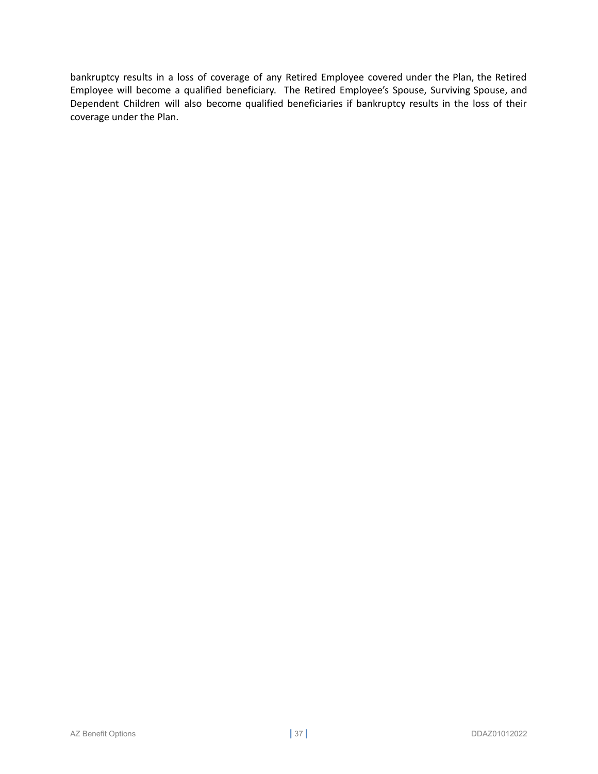bankruptcy results in a loss of coverage of any Retired Employee covered under the Plan, the Retired Employee will become a qualified beneficiary. The Retired Employee's Spouse, Surviving Spouse, and Dependent Children will also become qualified beneficiaries if bankruptcy results in the loss of their coverage under the Plan.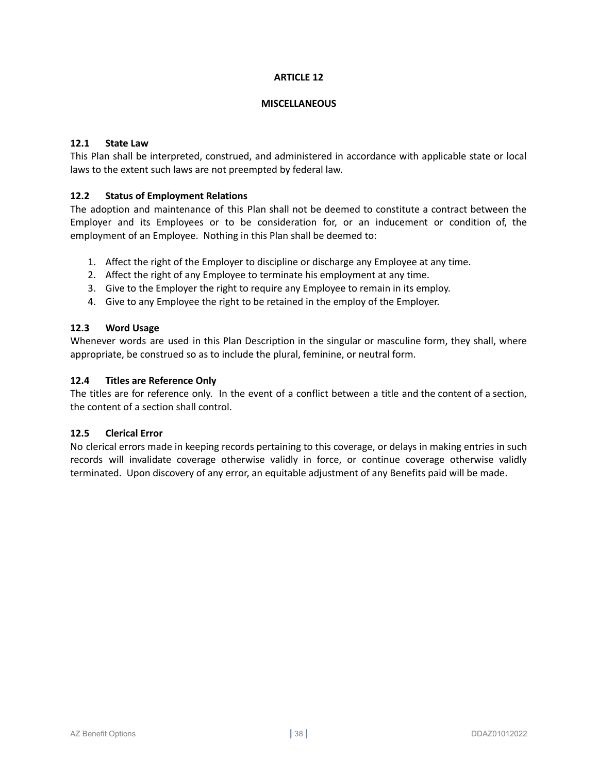#### **MISCELLANEOUS**

#### <span id="page-39-0"></span>**12.1 State Law**

This Plan shall be interpreted, construed, and administered in accordance with applicable state or local laws to the extent such laws are not preempted by federal law.

#### **12.2 Status of Employment Relations**

The adoption and maintenance of this Plan shall not be deemed to constitute a contract between the Employer and its Employees or to be consideration for, or an inducement or condition of, the employment of an Employee. Nothing in this Plan shall be deemed to:

- 1. Affect the right of the Employer to discipline or discharge any Employee at any time.
- 2. Affect the right of any Employee to terminate his employment at any time.
- 3. Give to the Employer the right to require any Employee to remain in its employ.
- 4. Give to any Employee the right to be retained in the employ of the Employer.

#### **12.3 Word Usage**

Whenever words are used in this Plan Description in the singular or masculine form, they shall, where appropriate, be construed so as to include the plural, feminine, or neutral form.

#### **12.4 Titles are Reference Only**

The titles are for reference only. In the event of a conflict between a title and the content of a section, the content of a section shall control.

#### **12.5 Clerical Error**

No clerical errors made in keeping records pertaining to this coverage, or delays in making entries in such records will invalidate coverage otherwise validly in force, or continue coverage otherwise validly terminated. Upon discovery of any error, an equitable adjustment of any Benefits paid will be made.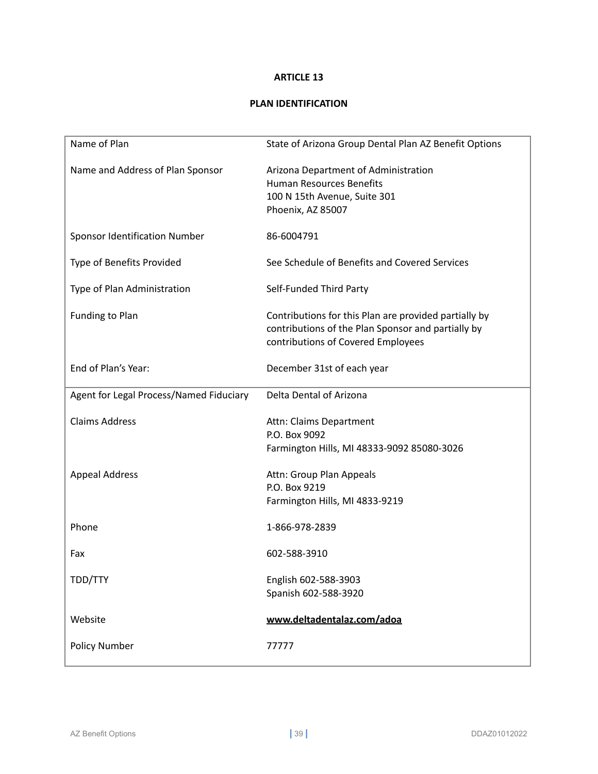#### **PLAN IDENTIFICATION**

<span id="page-40-0"></span>

| Name of Plan                            | State of Arizona Group Dental Plan AZ Benefit Options                                                                                             |
|-----------------------------------------|---------------------------------------------------------------------------------------------------------------------------------------------------|
| Name and Address of Plan Sponsor        | Arizona Department of Administration<br><b>Human Resources Benefits</b><br>100 N 15th Avenue, Suite 301<br>Phoenix, AZ 85007                      |
| Sponsor Identification Number           | 86-6004791                                                                                                                                        |
| Type of Benefits Provided               | See Schedule of Benefits and Covered Services                                                                                                     |
| Type of Plan Administration             | Self-Funded Third Party                                                                                                                           |
| Funding to Plan                         | Contributions for this Plan are provided partially by<br>contributions of the Plan Sponsor and partially by<br>contributions of Covered Employees |
| End of Plan's Year:                     | December 31st of each year                                                                                                                        |
| Agent for Legal Process/Named Fiduciary | Delta Dental of Arizona                                                                                                                           |
| <b>Claims Address</b>                   | Attn: Claims Department<br>P.O. Box 9092<br>Farmington Hills, MI 48333-9092 85080-3026                                                            |
| <b>Appeal Address</b>                   | Attn: Group Plan Appeals<br>P.O. Box 9219<br>Farmington Hills, MI 4833-9219                                                                       |
| Phone                                   | 1-866-978-2839                                                                                                                                    |
| Fax                                     | 602-588-3910                                                                                                                                      |
| TDD/TTY                                 | English 602-588-3903<br>Spanish 602-588-3920                                                                                                      |
| Website                                 | www.deltadentalaz.com/adoa                                                                                                                        |
| <b>Policy Number</b>                    | 77777                                                                                                                                             |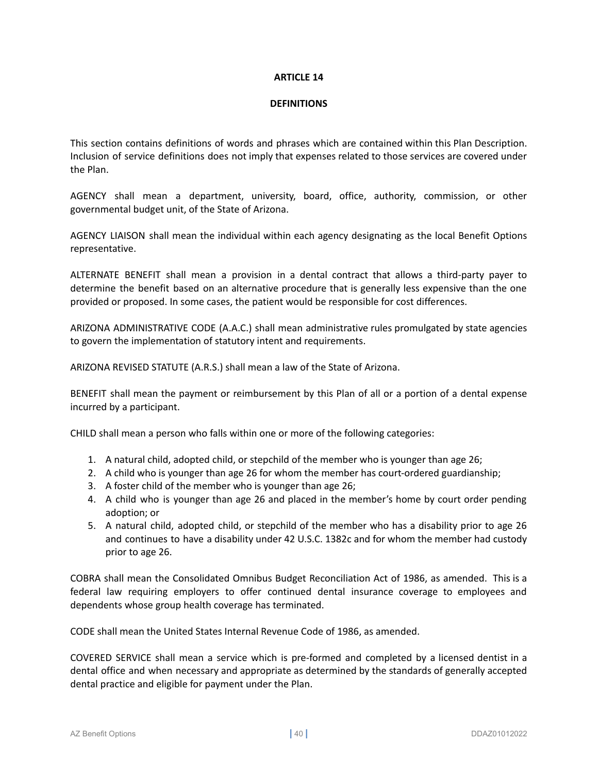#### **DEFINITIONS**

<span id="page-41-0"></span>This section contains definitions of words and phrases which are contained within this Plan Description. Inclusion of service definitions does not imply that expenses related to those services are covered under the Plan.

AGENCY shall mean a department, university, board, office, authority, commission, or other governmental budget unit, of the State of Arizona.

AGENCY LIAISON shall mean the individual within each agency designating as the local Benefit Options representative.

ALTERNATE BENEFIT shall mean a provision in a dental contract that allows a third-party payer to determine the benefit based on an alternative procedure that is generally less expensive than the one provided or proposed. In some cases, the patient would be responsible for cost differences.

ARIZONA ADMINISTRATIVE CODE (A.A.C.) shall mean administrative rules promulgated by state agencies to govern the implementation of statutory intent and requirements.

ARIZONA REVISED STATUTE (A.R.S.) shall mean a law of the State of Arizona.

BENEFIT shall mean the payment or reimbursement by this Plan of all or a portion of a dental expense incurred by a participant.

CHILD shall mean a person who falls within one or more of the following categories:

- 1. A natural child, adopted child, or stepchild of the member who is younger than age 26;
- 2. A child who is younger than age 26 for whom the member has court-ordered guardianship;
- 3. A foster child of the member who is younger than age 26;
- 4. A child who is younger than age 26 and placed in the member's home by court order pending adoption; or
- 5. A natural child, adopted child, or stepchild of the member who has a disability prior to age 26 and continues to have a disability under 42 U.S.C. 1382c and for whom the member had custody prior to age 26.

COBRA shall mean the Consolidated Omnibus Budget Reconciliation Act of 1986, as amended. This is a federal law requiring employers to offer continued dental insurance coverage to employees and dependents whose group health coverage has terminated.

CODE shall mean the United States Internal Revenue Code of 1986, as amended.

COVERED SERVICE shall mean a service which is pre-formed and completed by a licensed dentist in a dental office and when necessary and appropriate as determined by the standards of generally accepted dental practice and eligible for payment under the Plan.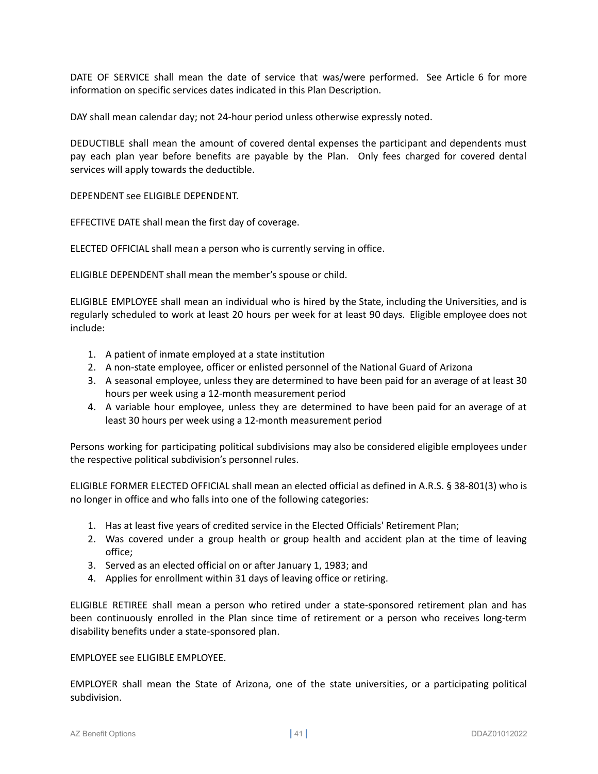DATE OF SERVICE shall mean the date of service that was/were performed. See Article 6 for more information on specific services dates indicated in this Plan Description.

DAY shall mean calendar day; not 24-hour period unless otherwise expressly noted.

DEDUCTIBLE shall mean the amount of covered dental expenses the participant and dependents must pay each plan year before benefits are payable by the Plan. Only fees charged for covered dental services will apply towards the deductible.

DEPENDENT see ELIGIBLE DEPENDENT.

EFFECTIVE DATE shall mean the first day of coverage.

ELECTED OFFICIAL shall mean a person who is currently serving in office.

ELIGIBLE DEPENDENT shall mean the member's spouse or child.

ELIGIBLE EMPLOYEE shall mean an individual who is hired by the State, including the Universities, and is regularly scheduled to work at least 20 hours per week for at least 90 days. Eligible employee does not include:

- 1. A patient of inmate employed at a state institution
- 2. A non-state employee, officer or enlisted personnel of the National Guard of Arizona
- 3. A seasonal employee, unless they are determined to have been paid for an average of at least 30 hours per week using a 12-month measurement period
- 4. A variable hour employee, unless they are determined to have been paid for an average of at least 30 hours per week using a 12-month measurement period

Persons working for participating political subdivisions may also be considered eligible employees under the respective political subdivision's personnel rules.

ELIGIBLE FORMER ELECTED OFFICIAL shall mean an elected official as defined in A.R.S. § 38-801(3) who is no longer in office and who falls into one of the following categories:

- 1. Has at least five years of credited service in the Elected Officials' Retirement Plan;
- 2. Was covered under a group health or group health and accident plan at the time of leaving office;
- 3. Served as an elected official on or after January 1, 1983; and
- 4. Applies for enrollment within 31 days of leaving office or retiring.

ELIGIBLE RETIREE shall mean a person who retired under a state-sponsored retirement plan and has been continuously enrolled in the Plan since time of retirement or a person who receives long-term disability benefits under a state-sponsored plan.

#### EMPLOYEE see ELIGIBLE EMPLOYEE.

EMPLOYER shall mean the State of Arizona, one of the state universities, or a participating political subdivision.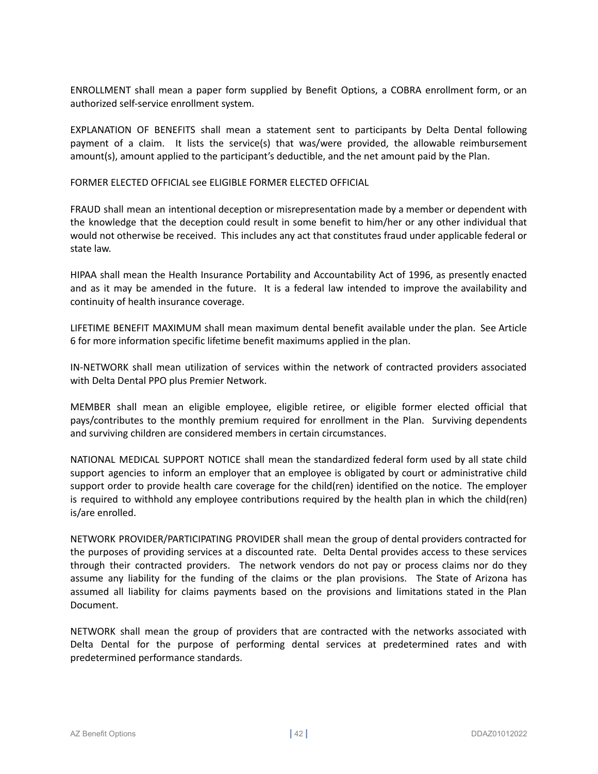ENROLLMENT shall mean a paper form supplied by Benefit Options, a COBRA enrollment form, or an authorized self-service enrollment system.

EXPLANATION OF BENEFITS shall mean a statement sent to participants by Delta Dental following payment of a claim. It lists the service(s) that was/were provided, the allowable reimbursement amount(s), amount applied to the participant's deductible, and the net amount paid by the Plan.

FORMER ELECTED OFFICIAL see ELIGIBLE FORMER ELECTED OFFICIAL

FRAUD shall mean an intentional deception or misrepresentation made by a member or dependent with the knowledge that the deception could result in some benefit to him/her or any other individual that would not otherwise be received. This includes any act that constitutes fraud under applicable federal or state law.

HIPAA shall mean the Health Insurance Portability and Accountability Act of 1996, as presently enacted and as it may be amended in the future. It is a federal law intended to improve the availability and continuity of health insurance coverage.

LIFETIME BENEFIT MAXIMUM shall mean maximum dental benefit available under the plan. See Article 6 for more information specific lifetime benefit maximums applied in the plan.

IN-NETWORK shall mean utilization of services within the network of contracted providers associated with Delta Dental PPO plus Premier Network.

MEMBER shall mean an eligible employee, eligible retiree, or eligible former elected official that pays/contributes to the monthly premium required for enrollment in the Plan. Surviving dependents and surviving children are considered members in certain circumstances.

NATIONAL MEDICAL SUPPORT NOTICE shall mean the standardized federal form used by all state child support agencies to inform an employer that an employee is obligated by court or administrative child support order to provide health care coverage for the child(ren) identified on the notice. The employer is required to withhold any employee contributions required by the health plan in which the child(ren) is/are enrolled.

NETWORK PROVIDER/PARTICIPATING PROVIDER shall mean the group of dental providers contracted for the purposes of providing services at a discounted rate. Delta Dental provides access to these services through their contracted providers. The network vendors do not pay or process claims nor do they assume any liability for the funding of the claims or the plan provisions. The State of Arizona has assumed all liability for claims payments based on the provisions and limitations stated in the Plan Document.

NETWORK shall mean the group of providers that are contracted with the networks associated with Delta Dental for the purpose of performing dental services at predetermined rates and with predetermined performance standards.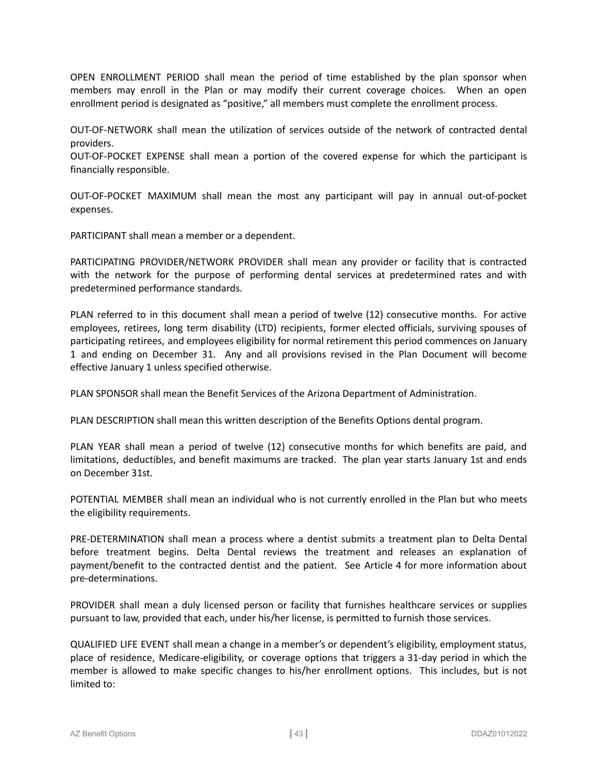OPEN ENROLLMENT PERIOD shall mean the period of time established by the plan sponsor when members may enroll in the Plan or may modify their current coverage choices. When an open enrollment period is designated as "positive," all members must complete the enrollment process.

OUT-OF-NETWORK shall mean the utilization of services outside of the network of contracted dental providers.

OUT-OF-POCKET EXPENSE shall mean a portion of the covered expense for which the participant is financially responsible.

OUT-OF-POCKET MAXIMUM shall mean the most any participant will pay in annual out-of-pocket expenses.

PARTICIPANT shall mean a member or a dependent.

PARTICIPATING PROVIDER/NETWORK PROVIDER shall mean any provider or facility that is contracted with the network for the purpose of performing dental services at predetermined rates and with predetermined performance standards.

PLAN referred to in this document shall mean a period of twelve (12) consecutive months. For active employees, retirees, long term disability (LTD) recipients, former elected officials, surviving spouses of participating retirees, and employees eligibility for normal retirement this period commences on January 1 and ending on December 31. Any and all provisions revised in the Plan Document will become effective January 1 unless specified otherwise.

PLAN SPONSOR shall mean the Benefit Services of the Arizona Department of Administration.

PLAN DESCRIPTION shall mean this written description of the Benefits Options dental program.

PLAN YEAR shall mean a period of twelve (12) consecutive months for which benefits are paid, and limitations, deductibles, and benefit maximums are tracked. The plan year starts January 1st and ends on December 31st.

POTENTIAL MEMBER shall mean an individual who is not currently enrolled in the Plan but who meets the eligibility requirements.

PRE-DETERMINATION shall mean a process where a dentist submits a treatment plan to Delta Dental before treatment begins. Delta Dental reviews the treatment and releases an explanation of payment/benefit to the contracted dentist and the patient. See Article 4 for more information about pre-determinations.

PROVIDER shall mean a duly licensed person or facility that furnishes healthcare services or supplies pursuant to law, provided that each, under his/her license, is permitted to furnish those services.

QUALIFIED LIFE EVENT shall mean a change in a member's or dependent's eligibility, employment status, place of residence, Medicare-eligibility, or coverage options that triggers a 31-day period in which the member is allowed to make specific changes to his/her enrollment options. This includes, but is not limited to: